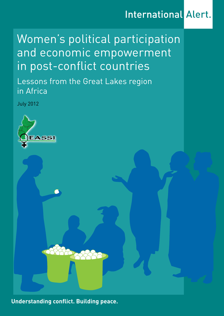## **International Alert.**

# Women's political participation and economic empowerment in post-conflict countries

Lessons from the Great Lakes region in Africa

July 2012



**Understanding conflict. Building peace.**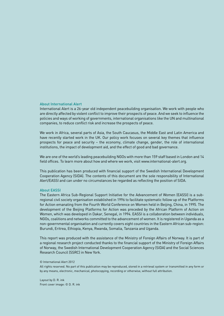#### About International Alert

International Alert is a 26-year old independent peacebuilding organisation. We work with people who are directly affected by violent conflict to improve their prospects of peace. And we seek to influence the policies and ways of working of governments, international organisations like the UN and multinational companies, to reduce conflict risk and increase the prospects of peace.

We work in Africa, several parts of Asia, the South Caucasus, the Middle East and Latin America and have recently started work in the UK. Our policy work focuses on several key themes that influence prospects for peace and security – the economy, climate change, gender, the role of international institutions, the impact of development aid, and the effect of good and bad governance.

We are one of the world's leading peacebuilding NGOs with more than 159 staff based in London and 14 field offices. To learn more about how and where we work, visit www.international-alert.org.

This publication has been produced with financial support of the Swedish International Development Cooperation Agency (SIDA). The contents of this document are the sole responsibility of International Alert/EASSI and can under no circumstances be regarded as reflecting the position of SIDA.

#### About EASSI

The Eastern Africa Sub-Regional Support Initiative for the Advancement of Women (EASSI) is a subregional civil society organisation established in 1996 to facilitate systematic follow up of the Platforms for Action emanating from the Fourth World Conference on Women held in Beijing, China, in 1995. The development of the Beijing Platforms for Action was preceded by the African Platform of Action on Women, which was developed in Dakar, Senegal, in 1994. EASSI is a collaboration between individuals, NGOs, coalitions and networks committed to the advancement of women. It is registered in Uganda as a non-governmental organisation and currently covers eight countries in the Eastern African sub-region: Burundi, Eritrea, Ethiopia, Kenya, Rwanda, Somalia, Tanzania and Uganda.

This report was produced with the assistance of the Ministry of Foreign Affairs of Norway. It is part of a regional research project conducted thanks to the financial support of the Ministry of Foreign Affairs of Norway, the Swedish International Development Cooperation Agency (SIDA) and the Social Sciences Research Council (SSRC) in New York.

#### © International Alert 2012

All rights reserved. No part of this publication may be reproduced, stored in a retrieval system or transmitted in any form or by any means, electronic, mechanical, photocopying, recording or otherwise, without full attribution.

Layout by D. R. ink Front cover image: © D. R. ink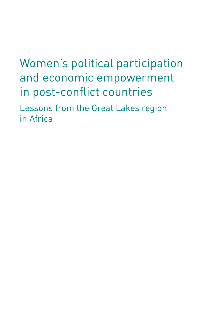# Women's political participation

and economic empowerment in post-conflict countries

Lessons from the Great Lakes region in Africa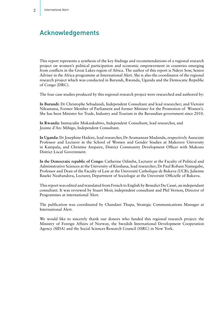## Acknowledgements

This report represents a synthesis of the key findings and recommendations of a regional research project on women's political participation and economic empowerment in countries emerging from conflicts in the Great Lakes region of Africa. The author of this report is Ndeye Sow, Senior Adviser in the Africa programme at International Alert. She is also the coordinator of the regional research project which was conducted in Burundi, Rwanda, Uganda and the Democatic Republic of Congo (DRC).

The four case studies produced by this regional research project were researched and authored by:

**In Burundi:** Dr Christophe Sebudandi, Independent Consultant and lead researcher; and Victoire Nikumana, Former Member of Parliament and former Minister for the Promotion of Women's. She has been Minister for Trade, Industry and Tourism in the Burundian government since 2010.

**In Rwanda:** Immaculée Mukankubito, Independent Consultant, lead researcher, and Jeanne d'Arc Mihigo, Independent Consultant.

**In Uganda:** Dr Josephine Haikire, lead researcher, Dr Aramanzan Madanda, respectively Associate Professor and Lecturer in the School of Women and Gender Studies at Makerere University in Kampala; and Christine Ampaire, District Community Development Officer with Mukono District Local Government.

**In the Democratic republic of Congo:** Catherine Odimba, Lecturer at the Faculty of Political and Administrative Sciences at the University of Kinshasa, lead researcher; Dr Paul Robain Namegabe, Professor and Dean of the Faculty of Law at the Université Catholique de Bukavu (UCB); Julienne Baseke Nzabandora, Lecturer, Department of Sociologie at the Université Officielle of Bukavu.

This report was edited and translated from French to English by Benedict Du Cassé, an independant consultant. It was reviewed by Stuart Moir, independent consultant and Phil Vernon, Director of Programmes at international Alert.

The publication was coordinated by Chandani Thapa, Strategic Communications Manager at International Alert.

We would like to sincerely thank our donors who funded this regional research project: the Ministry of Foreign Affairs of Norway, the Swedish International Development Cooperation Agency (SIDA) and the Social Sciences Research Council (SSRC) in New York.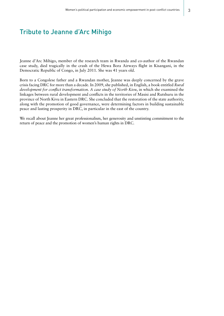## Tribute to Jeanne d'Arc Mihigo

Jeanne d'Arc Mihigo, member of the research team in Rwanda and co-author of the Rwandan case study, died tragically in the crash of the Hewa Bora Airways flight in Kisangani, in the Democratic Republic of Congo, in July 2011. She was 41 years old.

Born to a Congolese father and a Rwandan mother, Jeanne was deeply concerned by the grave crisis facing DRC for more than a decade. In 2009, she published, in English, a book entitled *Rural development for conflict transformation. A case study of North Kivu*, in which she examined the linkages between rural development and conflicts in the territories of Masisi and Rutshuru in the province of North Kivu in Eastern DRC. She concluded that the restoration of the state authority, along with the promotion of good governance, were determining factors in building sustainable peace and lasting prosperity in DRC, in particular in the east of the country.

We recall about Jeanne her great professionalism, her generosity and unstinting commitment to the return of peace and the promotion of women's human rights in DRC.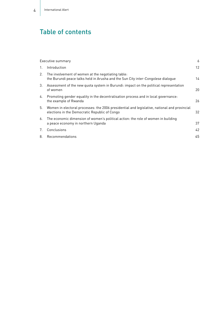## Table of contents

|    | Executive summary                                                                                                                             | 6                 |
|----|-----------------------------------------------------------------------------------------------------------------------------------------------|-------------------|
| 1. | Introduction                                                                                                                                  | $12 \overline{ }$ |
| 2. | The involvement of women at the negotiating table:<br>the Burundi peace talks held in Arusha and the Sun City inter-Congolese dialoque        | 14                |
| 3. | Assessment of the new quota system in Burundi: impact on the political representation<br>of women                                             | 20                |
| 4. | Promoting gender equality in the decentralisation process and in local governance:<br>the example of Rwanda                                   | 26                |
| 5. | Women in electoral processes: the 2006 presidential and legislative, national and provincial<br>elections in the Democratic Republic of Congo | 32                |
| 6. | The economic dimension of women's political action: the role of women in building<br>a peace economy in northern Uganda                       | 37                |
| 7. | Conclusions                                                                                                                                   | 42                |
| 8. | Recommendations                                                                                                                               | 45                |
|    |                                                                                                                                               |                   |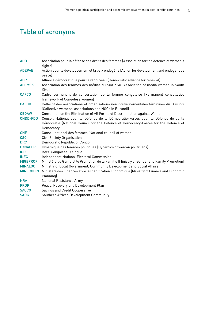## Table of acronyms

| <b>ADD</b>       | Association pour la défense des droits des femmes [Association for the defence of women's<br>rights]                                                                                    |
|------------------|-----------------------------------------------------------------------------------------------------------------------------------------------------------------------------------------|
| <b>ADEPAE</b>    | Action pour le développement et la paix endogène [Action for development and endogenous<br>peace]                                                                                       |
| <b>ADR</b>       | Alliance démocratique pour le renouveau [Democratic alliance for renewal]                                                                                                               |
| <b>AFEMSK</b>    | Association des femmes des médias du Sud Kivu [Association of media women in South<br>Kivul                                                                                             |
| <b>CAFCO</b>     | Cadre permanent de concertation de la femme congolaise [Permanent consultative<br>framework of Congolese women]                                                                         |
| <b>CAFOB</b>     | Collectif des associations et organisations non gouvernementales féminines du Burundi<br>[Collective womens' associations and NGOs in Burundi]                                          |
| <b>CEDAW</b>     | Convention on the Elimination of All Forms of Discrimination against Women                                                                                                              |
| <b>CNDD-FDD</b>  | Conseil National pour la Défense de la Démocratie-Forces pour la Défense de  de la<br>Démocratie [National Council for the Defence of Democracy-Forces for the Defence of<br>Democracy] |
| <b>CNF</b>       | Conseil national des femmes [National council of women]                                                                                                                                 |
| <b>CSO</b>       | Civil Society Organisation                                                                                                                                                              |
| <b>DRC</b>       | Democratic Republic of Congo                                                                                                                                                            |
| <b>DYNAFEP</b>   | Dynamique des femmes politiques [Dynamics of woman politicians]                                                                                                                         |
| <b>ICD</b>       | Inter-Congolese Dialogue                                                                                                                                                                |
| <b>INEC</b>      | Independent National Electoral Commission                                                                                                                                               |
| <b>MIGEPROF</b>  | Ministère du Genre et le Promotion de la Famille [Ministry of Gender and Family Promotion]                                                                                              |
| <b>MINALOC</b>   | Ministry of Local Government, Community Development and Social Affairs                                                                                                                  |
| <b>MINECOFIN</b> | Ministère des Finances et de la Planification Economique [Ministry of Finance and Economic<br>Planning]                                                                                 |
| <b>NRA</b>       | National Resistance Army                                                                                                                                                                |
| <b>PRDP</b>      | Peace, Recovery and Development Plan                                                                                                                                                    |
| <b>SACCO</b>     | Savings and Credit Cooperative                                                                                                                                                          |
| <b>SADC</b>      | Southern African Development Community                                                                                                                                                  |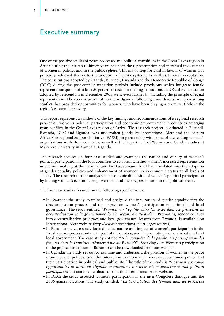### Executive summary

One of the positive results of peace processes and political transitions in the Great Lakes region in Africa during the last ten to fifteen years has been the representation and increased involvement of women in politics and in the public sphere. This major step forward in favour of women was primarily achieved thanks to the adoption of quota systems, as well as through co-optation. The constitutions adopted by Uganda, Burundi, Rwanda and the Democratic Republic of Congo (DRC) during the post-conflict transition periods include provisions which integrate female representation quotas of at least 30 percent in decision-making institutions. In DRC the constitution adopted by referendum in December 2005 went even further by including the principle of equal representation. The reconstruction of northern Uganda, following a murderous twenty-year long conflict, has provided opportunities for women, who have been playing a prominent role in the region's economic recovery.

This report represents a synthesis of the key findings and recommendations of a regional research project on women's political participation and economic empowerment in countries emerging from conflicts in the Great Lakes region of Africa. The research project, conducted in Burundi, Rwanda, DRC and Uganda, was undertaken jointly by International Alert and the Eastern Africa Sub-regional Support Initiative (EASSI), in partnership with some of the leading women's organisations in the four countries, as well as the Department of Women and Gender Studies at Makerere University in Kampala, Uganda.

The research focuses on four case studies and examines the nature and quality of women's political participation in the four countries to establish whether women's increased representation in decision making at the national and local governance level has translated into the adoption of gender equality policies and enhancement of women's socio-economic status at all levels of society. The research further analyses the economic dimension of women's political participation by linking women's economic empowerment and their representation in the political arena.

The four case studies focused on the following specific issues:

- In Rwanda: the study examined and analysed the integration of gender equality into the decentralisation process and the impact on women's participation in national and local governance. The study entitled "*Promouvoir l'égalité entre les sexes dans les processus de decentralisation et la gouvernance locale: leçons du Rwanda*" (Promoting gender equality into decentralisation processes and local governance: lessons from Rwanda) is available on International Alert website (http://www.international-alert.org/resources)
- In Burundi: the case study looked at the nature and impact of women's participation in the Arusha peace process and the impact of the quota system in promoting women in national and local government. The case study entitled "*A la conquête de la parole. La participation des femmes dans la transition démocratique au Burundi*" (Speaking out: Women's participation in the political transition in Burundi) can be downloaded from our website.
- In Uganda: the study set out to examine and understand the position of women in the peace economy and politics, and the interaction between their increased economic power and their participation in political and public life. The title of the study is "*Post-war economic opportunities in northern Uganda: implications for women's empowerment and political participation*". It can be downloaded from the International Alert website.
- In DRC: the study assessed women's participation in the inter-Congolese dialogue and the 2006 general elections. The study entitled: "*La participation des femmes dans les processus*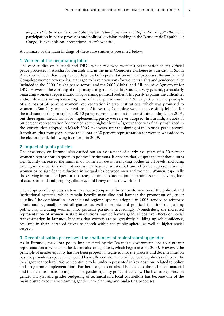*de paix et la prise de décision politique en République Démocratique du Congo*" (Women's participation in peace processes and political decision-making in the Democratic Republic of Congo) is available on International Alert's website.

A summary of the main findings of these case studies is presented below:

#### 1. Women at the negotiating table

The case studies on Burundi and DRC, which reviewed women's participation in the official peace processes in Arusha for Burundi and in the inter-Congolese Dialogue at Sun City in South Africa, concluded that, despite their low level of representation in these processes, Burundian and Congolese women nevertheless managed to have provisions for women's rights and gender equality included in the 2000 Arusha peace accord and the 2002 Global and All-inclusive Agreement for DRC. However, the wording of the principle of gender equality was kept very general, particularly regarding women's representation in governing political bodies. This partly explains the difficulties and/or slowness in implementing most of these provisions. In DRC in particular, the principle of a quota of 30 percent women's representation in state institutions, which was promised to women in Sun City, was never enforced. Afterwards, Congolese women successfully lobbied for the inclusion of the principle of 50-50 parity representation in the constitution adopted in 2006, but there again mechanisms for implementing parity were never adopted. In Burundi, a quota of 30 percent representation for women at the highest level of governance was finally enshrined in the constitution adopted in March 2005, five years after the signing of the Arusha peace accord. It took another four years before the quota of 30 percent representation for women was added to the electoral code following its reform in 2009.

#### 2. Impact of quota policies

The case study on Burundi also carried out an assessment of nearly five years of a 30 percent women's representation quota in political institutions. It appears that, despite the fact that quotas significantly increased the number of women in decision-making bodies at all levels, including local governance, this did not necessarily lead to substantial and effective representation of women or to significant reduction in inequalities between men and women. Women, especially those living in rural and peri-urban areas, continue to face major constraints such as poverty, lack of access to land and property, illiteracy and heavy domestic workloads.

The adoption of a quotas system was not accompanied by a transformation of the political and institutional systems, which remain heavily masculine and hamper the promotion of gender equality. The combination of ethnic and regional quotas, adopted in 2005, tended to reinforce ethnic and regionally-based allegiances as well as ethnic and political isolationism, pushing politicians, including women, into partisan positions accordingly. Nonetheless, the increased representation of women in state institutions may be having gradual positive effects on social transformation in Burundi. It seems that women are progressively building up self-confidence, resulting in their increased access to speech within the public sphere, as well as higher social respect.

#### 3. Decentralisation processes: the challenges of mainstreaming gender

As in Burundi, the quota policy implemented by the Rwandan government lead to a greater representation of women in the decentralisation process, which began in early 2000. However, the principle of gender equality has not been properly integrated into the process and decentralisation has not provided a space which could have allowed women to influence the policies defined at the local governance level. Women continue to be under-represented in key positions related to policy and programme implementation. Furthermore, decentralised bodies lack the technical, material and financial resources to implement a gender equality policy effectively. The lack of expertise on gender analysis and gender budgeting of technical and local counsellors has become one of the main obstacles to mainstreaming gender into planning and budgeting processes.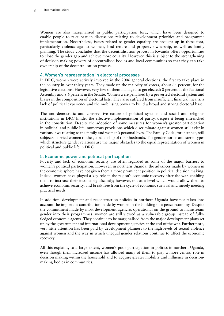Women are also marginalised in public participation fora, which have been designed to enable people to take part in discussions relating to development priorities and programme implementation. Nevertheless, issues related to gender equality are brought up in these fora, particularly violence against women, land tenure and property ownership, as well as family planning. The study concludes that the decentralisation process in Rwanda offers opportunities to close the gender gap and achieve more equality. However, this is subject to the strengthening of decision-making powers of decentralised bodies and local communities so that they can take ownership of the decentralisation process.

#### 4. Women's representation in electoral processes

In DRC, women were actively involved in the 2006 general elections, the first to take place in the country in over thirty years. They made up the majority of voters, about 64 percent, for the legislative elections. However, very few of them managed to get elected: 8 percent at the National Assembly and 8.6 percent in the Senate. Women were penalised by a perverted electoral system and biases in the composition of electoral lists. They also suffered from insufficient financial means, a lack of political experience and the mobilising power to build a broad and strong electoral base.

The anti-democratic and conservative nature of political systems and social and religious institutions in DRC hinder the effective implementation of parity, despite it being entrenched in the constitution. Despite the adoption of some measures for women's greater participation in political and public life, numerous provisions which discriminate against women still exist in various laws relating to the family and women's personal lives. The Family Code, for instance, still subjects married women to the guardianship of their husbands. The gender norms and stereotypes which structure gender relations are the major obstacles to the equal representation of women in political and public life in DRC.

#### 5. Economic power and political participation

Poverty and lack of economic security are often regarded as some of the major barriers to women's political participation. However, in northern Uganda, the advances made by women in the economic sphere have not given them a more prominent position in political decision making. Indeed, women have played a key role in the region's economic recovery after the war, enabling them to increase their income significantly; however, not at a level which would allow them to achieve economic security, and break free from the cycle of economic survival and merely meeting practical needs.

In addition, development and reconstruction policies in northern Uganda have not taken into account the important contribution made by women in the building of a peace economy. Despite the commitment made by most development agencies operational on the ground to mainstream gender into their programmes, women are still viewed as a vulnerable group instead of fullyfledged economic agents. They continue to be marginalised from the major development plans set up by the government and international development agencies at the end of the war. Furthermore, very little attention has been paid by development planners to the high levels of sexual violence against women and the way in which unequal gender relations continue to affect the economic recovery.

All this explains, to a large extent, women's poor participation in politics in northern Uganda, even though their increased income has allowed many of them to play a more central role in decision making within the household and to acquire greater mobility and influence in decisionmaking bodies in communities.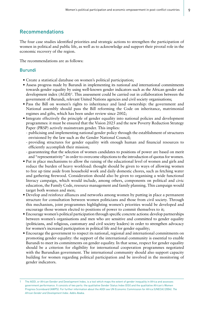#### Recommendations

The four case studies identified priorities and strategic actions to strengthen the participation of women in political and public life, as well as to acknowledge and support their pivotal role in the economic recovery of the region.

The recommendations are as follows:

#### Burundi

- Create a statistical database on women's political participation;
- Assess progress made by Burundi in implementing its national and international commitments towards gender equality by using well-known gender indicators such as the African gender and development index (AGDI)<sup>1</sup>. This assessment could be carried out in collaboration between the government of Burundi, relevant United Nations agencies and civil society organisations;
- Pass the Bill on women's rights to inheritance and land ownership: the government and National assembly should pass the Bill reforming the Code on inheritance, matrimonial regimes and gifts, which has been under review since 2002;
- Integrate effectively the principle of gender equality into national policies and development programmes: it must be ensured that the Vision 2025 and the new Poverty Reduction Strategy Paper (PRSP) actively mainstream gender. This implies:
	- publicising and implementing national gender policy through the establishment of structures envisioned by the law such as the Gender National Council;
	- providing structures for gender equality with enough human and financial resources to efficiently accomplish their mission;
	- guaranteeing that the selection of women candidates to positions of power are based on merit and "representativity" in order to overcome objections to the introduction of quotas for women.
- Put in place mechanisms to allow the raising of the educational level of women and girls and reduce the burden of heavy workload: thought should be given to ways of allowing women to free up time aside from household work and daily domestic chores, such as fetching water and gathering firewood. Consideration should also be given to organising a wide functional literacy campaign, which would include, among others, components on political and civic education, the Family Code, resource management and family planning. This campaign would target both women and men;
- Develop and reinforce alliances and networks among women by putting in place a permanent structure for consultation between women politicians and those from civil society. Through this mechanism, joint programmes highlighting women's priorities would be developed and encourage those women elected to positions of power to commit themselves to it;
- Encourage women's political participation through specific concrete actions: develop partnerships between women's organisations and men who are sensitive and committed to gender equality (politicians, and religious, customary and civil society leaders) in order to strengthen advocacy for women's increased participation in political life and for gender equality;
- Encourage the government to respect its national, regional and international commitments on promoting gender equality: the support of the international community is essential to enable Burundi to meet its commitments on gender equality. In that sense, respect for gender equality should be a criterion for eligibility for international cooperation programmes negotiated with the Burundian government. The international community should also support capacity building for women regarding political participation and be involved in the monitoring of gender indicators.

<sup>1</sup> The AGDI, or African Gender and Development Index, is a tool which maps the extent of gender inequality in Africa and assesses government performance. It consists of two parts: the qualitative Gender Status Index (GSI) and the qualitative African's Women Progress Scoreboard (AWPS). For further information about the AGDI see UN Economic Commission for Africa (UNECA) (2004). *The African Gender and Development Index*. Addis Ababa.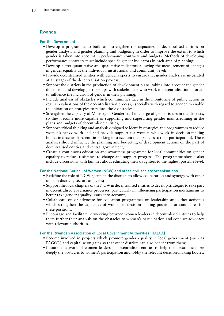#### Rwanda

#### For the Government

- Develop a programme to build and strengthen the capacities of decentralised entities on gender analysis and gender planning and budgeting in order to improve the extent to which gender is taken into account in performance contracts and budgets. Methods of developing performance contracts must include specific gender indicators in each area of planning;
- Develop better quantitative and qualitative indicators allowing the measurement of changes in gender equality at the individual, institutional and community level;
- Provide decentralised entities with gender experts to ensure that gender analysis is integrated at all stages of the decentralisation process;
- Support the districts in the production of development plans, taking into account the gender dimension and develop partnerships with stakeholders who work in decentralisation in order to influence the inclusion of gender in their planning;
- Include analysis of obstacles which communities face in the monitoring of public action in regular evaluations of the decentralisation process, especially with regard to gender, to enable the initiation of strategies to reduce these obstacles.
- Strengthen the capacity of Ministry of Gender staff in charge of gender issues in the districts, so they become more capable of supporting and supervising gender mainstreaming in the plans and budgets of decentralised entities;
- Support critical thinking and analysis designed to identify strategies and programmes to reduce women's heavy workload and provide support for women who work in decision-making bodies in decentralised entities (taking into account the obstacles to their participation). These analyses should influence the planning and budgeting of development actions on the part of decentralised entities and central government;
- Create a continuous education and awareness programme for local communities on gender equality to reduce resistance to change and support progress. The programme should also include discussions with families about educating their daughters to the highest possible level.

#### For the National Council of Women (NCW) and other civil society organisations

- Redefine the role of NCW agents in the districts to allow cooperation and synergy with other units in districts, sectors and cells;
- Support the local chapters of the NCW in decentralised entities to develop strategies to take part in decentralised governance processes, particularly in influencing participation mechanisms to better take gender equality issues into account;
- Collaborate on or advocate for education programmes on leadership and other activities which strengthen the capacities of women in decision-making positions or candidates for these positions.
- Encourage and facilitate networking between women leaders in decentralised entities to help them further their analysis on the obstacles to women's participation and conduct advocacy with relevant authorities.

#### For the Rwandan Association of Local Government Authorities (RALGA)

- Become involved in projects which promote gender equality in local government (such as PAGOR) and capitalise on gains so that other districts can also benefit from them;
- Initiate a network of women leaders in decentralised entities to help them examine more deeply the obstacles to women's participation and lobby the relevant decision-making bodies.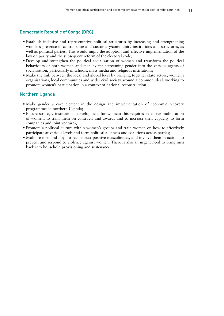#### Democratic Republic of Congo (DRC)

- Establish inclusive and representative political structures by increasing and strengthening women's presence in central state and customary/community institutions and structures, as well as political parties. This would imply the adoption and effective implementation of the law on parity and the subsequent reform of the electoral code;
- Develop and strengthen the political socialisation of women and transform the political behaviours of both women and men by mainstreaming gender into the various agents of socialisation, particularly in schools, mass media and religious institutions;
- Make the link between the local and global level by bringing together state actors, women's organisations, local communities and wider civil society around a common ideal: working to promote women's participation in a context of national reconstruction.

#### Northern Uganda

- Make gender a core element in the design and implementation of economic recovery programmes in northern Uganda;
- Ensure strategic institutional development for women: this requires extensive mobilisation of women, to train them on contracts and awards and to increase their capacity to form companies and joint ventures;
- Promote a political culture within women's groups and train women on how to effectively participate at various levels and form political alliances and coalitions across parties;
- Mobilise men and boys to reconstruct positive masculinities, and involve them in actions to prevent and respond to violence against women. There is also an urgent need to bring men back into household provisioning and sustenance.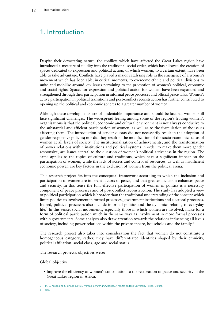## 1. Introduction

Despite their devastating nature, the conflicts which have affected the Great Lakes region have introduced a measure of fluidity into the traditional social order, which has allowed the creation of spaces dedicated to expression and political action, of which women, to a certain extent, have been able to take advantage. Conflicts have played a major catalysing role in the emergence of a women's movement which has been able, in critical moments, to overcome ethnic and political divisions to unite and mobilise around key issues pertaining to the promotion of women's political, economic and social rights. Spaces for expression and political action for women have been expanded and strengthened through their participation in informal peace processes and official peace talks. Women's active participation in political transitions and post-conflict reconstruction has further contributed to opening up the political and economic spheres to a greater number of women.

Although these developments are of undeniable importance and should be lauded, women still face significant challenges. The widespread feeling among some of the region's leading women's organisations is that the political, economic and cultural environment is not always conducive to the substantial and efficient participation of women, as well as to the formulation of the issues affecting them. The introduction of gender quotas did not necessarily result in the adoption of gender-responsive policies; nor did they result in the modification of the socio-economic status of women at all levels of society. The institutionalisation of achievements, and the transformation of power relations within institutions and political systems in order to make them more gender responsive, are issues central to the question of women's political activeness in the region. The same applies to the topics of culture and traditions, which have a significant impact on the participation of women, while the lack of access and control of resources, as well as insufficient economic power, are key factors in the exclusion of women from the political arena.

This research project fits into the conceptual framework according to which the inclusion and participation of women are inherent factors of peace, and that greater inclusion enhances peace and security. In this sense the full, effective participation of women in politics is a necessary component of peace processes and of post-conflict reconstruction. The study has adopted a view of political participation which is broader than the traditional understanding of the concept which limits politics to involvement in formal processes, government institutions and electoral processes. Indeed, political processes also include informal politics and the dynamics relating to everyday life.2 In this sense, social movements, especially those in which women are involved, make for a form of political participation much in the same way as involvement in more formal processes within governments. Some analysts also draw attention towards the relations influencing all levels of society, including power relations within the private sphere, households and the family.3

The research project also takes into consideration the fact that women do not constitute a homogeneous category; rather, they have differentiated identities shaped by their ethnicity, political affiliation, social class, age and social status.

The research project's objectives were:

Global objective:

• Improve the efficiency of women's contribution to the restoration of peace and security in the Great Lakes region in Africa.

3 *Ibid*.

<sup>2</sup> M. L. Krook and S. Childs (2010). *Women, gender and politics. A reader.* Oxford University Press: Oxford.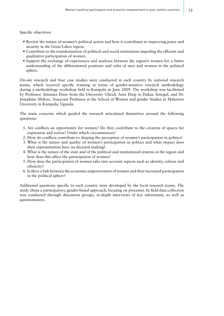Specific objectives:

- Review the nature of women's political action and how it contributes to improving peace and security in the Great Lakes region.
- Contribute to the transformation of political and social institutions impeding the efficient and qualitative participation of women.
- Support the exchange of experiences and analyses between the region's women for a better understanding of the differentiated positions and roles of men and women in the political sphere.

On-site research and four case studies were conducted in each country by national research teams, which received specific training in terms of gender-sensitive research methodology during a methodology workshop held in Kampala in June 2009. The workshop was facilitated by Professor Aminata Diaw from the University Cheick Anta Diop in Dakar, Senegal, and Dr. Josephine Ahikire, Associate Professor at the School of Women and gender Studies at Makerere University in Kampala, Uganda.

The main concerns which guided the research articulated themselves around the following questions:

- 1. Are conflicts an opportunity for women? Do they contribute to the creation of spaces for expression and action? Under which circumstances?
- 2. How do conflicts contribute to shaping the perception of women's participation in politics?
- 3. What is the nature and quality of women's participation in politics and what impact does their representation have on decision making?
- 4. What is the nature of the state and of the political and institutional systems in the region and how does this affect the participation of women?
- 5. How does the participation of women take into account aspects such as identity, culture and ethnicity?
- 6. Is there a link between the economic empowerment of women and their increased participation in the political sphere?

Additional questions specific to each country were developed by the local research teams. The study chose a participatory, gender-based approach, focusing on processes. In-field data collection was conducted through discussion groups, in-depth interviews of key informants, as well as questionnaires.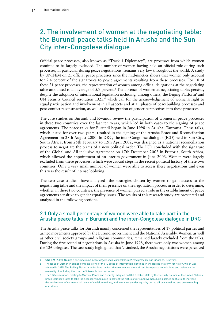## 2. The involvement of women at the negotiating table: the Burundi peace talks held in Arusha and the Sun City inter-Congolese dialogue

Official peace processes, also known as "Track 1 Diplomacy", are processes from which women continue to be largely excluded. The number of women having held an official role during such processes, in particular during peace negotiations, remains very low throughout the world. A study by UNIFEM on 21 official peace processes since the mid-nineties shows that women only account for 2.4 percent of the signatories to peace agreements resulting from these processes. For 10 of these 21 peace processes, the representation of women among official delegations at the negotiating table amounted to an average of 5.9 percent.<sup>4</sup> The absence of women at negotiating tables persists, despite the adoption of international legislation including, among others, the Beijing Platform<sup>5</sup> and UN Security Council resolution  $1325$ , which call for the acknowledgement of women's right to equal participation and involvement in all aspects and at all phases of peacebuilding processes and post-conflict reconstruction, as well as the integration of gender perspectives into these processes.

The case studies on Burundi and Rwanda review the participation of women in peace processes in these two countries over the last ten years, which led in both cases to the signing of peace agreements. The peace talks for Burundi began in June 1998 in Arusha, Tanzania. These talks, which lasted for over two years, resulted in the signing of the Arusha Peace and Reconciliation Agreement on 28th August 2000. In DRC, the inter-Congolese dialogue (ICD) held in Sun City, South Africa, from 25th February to 12th April 2002, was designed as a national reconciliation process to negotiate the terms of a new political order. The ICD concluded with the signature of the Global and All-inclusive Agreement on 17th December 2002 in Pretoria, South Africa, which allowed the appointment of an interim government in June 2003. Women were largely excluded from these processes, which were crucial steps in the recent political history of these two countries. Only a very small number of women were able to access these negotiations and even this was the result of intense lobbying.

The two case studies have analysed the strategies chosen by women to gain access to the negotiating table and the impact of their presence on the negotiation process in order to determine, whether, in these two countries, the presence of women played a role in the establishment of peace agreements sensitive to gender equality issues. The results of this research study are presented and analysed in the following sections.

#### 2.1 Only a small percentage of women were able to take part in the Arusha peace talks in Burundi and the inter-Congolese dialogue in DRC

The Arusha peace talks for Burundi mainly concerned the representatives of 17 political parties and armed movements approved by the Burundi government and the National Assembly. Women, as well as other civil society groups and religious communities, remained largely excluded from the talks. During the first round of negotiations in Arusha in June 1998, there were only two women among the 126 delegates. The case study highlighted that '…indeed, the Arusha negotiations were perceived

<sup>4</sup> UNIFEM (2009). *Women's participation in peace negotiations: connections between presence and influence*. New York.

<sup>5</sup> The issue of women in armed conflicts is one of the 12 areas of intervention identified in the Beijing Platform for Action, which was adopted in 1995. The Beijing Platform underlines the fact that women are often absent from peace negotiations and insists on the necessity of including them in conflict-resolution processes.

<sup>6</sup> The 1325 resolution, relating to Women, Peace and Security, adopted on 31st October 2000 by the Security Council of the United Nations, urges Member States to take the necessary measures to protect the rights of girls and women during armed conflicts, to increase the involvement of women at all levels of decision making, and to ensure gender equality during all peacemaking and peacekeeping operations.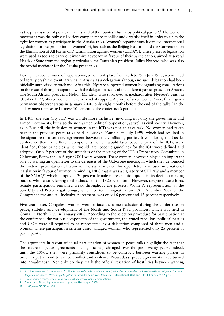as the privatisation of political matters and of the country's future by political parties'.<sup>7</sup> The women's movement was the only civil society component to mobilise and organise itself in order to claim the right for women to participate in the Arusha talks. Women's organisations leveraged international legislation for the promotion of women's rights such as the Beijing Platform and the Convention on the Elimination of All Forms of Discrimination against Women (CEDAW). These pieces of legislation were used as tools to carry out intensive advocacy in favour of their participation, aimed at several Heads of State from the region, particularly the Tanzanian president, Julius Nyerere, who was also the official mediator for the Arusha peace talks.

During the second round of negotiations, which took place from 20th to 29th July 1998, women had to literally crash the event, arriving in Arusha as a delegation although no such delegation had been officially authorised beforehand. After this, Nyerere supported women by organising consultations on the issue of their participation with the delegation heads of the different parties present in Arusha. The South African president, Nelson Mandela, who took over as mediator after Nyerere's death in October 1999, offered women the same kind of support. A group of seven women<sup>8</sup> were finally given permanent observer status in January 2000, only eight months before the end of the talks.<sup>9</sup> In the end, women represented a mere 10 percent of the conference's participants.

In DRC, the Sun City ICD was a little more inclusive, involving not only the government and armed movements, but also the non-armed political opposition, as well as civil society. However, as in Burundi, the inclusion of women in the ICD was not an easy task. No women had taken part in the previous peace talks held in Lusaka, Zambia, in July 1999, which had resulted in the signature of a ceasefire agreement between the conflicting parties. It was during the Lusaka conference that the different components, which would later become part of the ICD, were identified; those principles which would later become guidelines for the ICD were defined and adopted. Only 9 percent of the attendees of the meeting of the ICD's Preparatory Committee in Gaborone, Botswana, in August 2001 were women. These women, however, played an important role by writing an open letter to the delegates of the Gaborone meeting in which they denounced the under-representation of women. The signatories of this open letter also used international legislation in favour of women, reminding DRC that it was a signatory of CEDAW and a member of the SADC,10 which adopted a 30 percent female representation quota in its decision-making bodies, while also referring to the clauses of the 1325 resolution. However, despite these efforts, female participation remained weak throughout the process. Women's representation at the Sun City and Pretoria gatherings, which led to the signature on 17th December 2002 of the Comprehensive and All Inclusive Agreement, was only 16 percent and 13 percent respectively.

Five years later, Congolese women were to face the same exclusion during the conference on peace, stability and development of the North and South Kivu provinces, which was held in Goma, in North Kivu in January 2008. According to the selection procedure for participation at the conference, the various components of the government, the armed rebellion, political parties and CSOs were all required to be represented by a delegation composed of three men and a woman. These participation criteria disadvantaged women, who represented only 25 percent of participants.

The arguments in favour of equal participation of women in peace talks highlight the fact that the nature of peace agreements has significantly changed over the past twenty years. Indeed, until the 1990s, they were primarily considered to be contracts between warring parties in order to put an end to armed conflict and violence. Nowadays, peace agreements have turned into "roadmaps". Not only do they mark the official cessation of hostilities between warring

10 DRC joined SADC in 1998.

<sup>7</sup> V. Ndikumana and C. Sebudandi (2011). *A la conquête de la parole. La participation des femmes dans la transition démocratique au Burundi [Fighting for speech. Women's participation in Burundi's democratic transition*]. International Alert and EASSI: London, 2012, p.12.

<sup>8</sup> These women represented the various civil society women's organisations.

<sup>9</sup> The Arusha Peace Agreement was signed on 28th August 2000.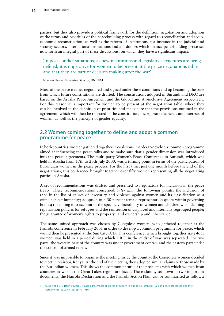parties, but they also provide a political framework for the definition, negotiation and adoption of the terms and priorities of the peacebuilding process with regard to reconciliation and socioeconomic reconstruction, as well as the reform of institutions, for instance in the judicial and security sectors. International institutions and aid donors which finance peacebuilding processes now form an integral part of these discussions, on which they have a significant impact.<sup>11</sup>

'In post-conflict situations, as new institutions and legislative structures are being defined, it is imperative for women to be present at the peace negotiations table and that they are part of decision making after the war'.

Noeleen Heyzer, Executive Director, UNIFEM

Most of the peace treaties negotiated and signed under these conditions end up becoming the base from which future constitutions are drafted. The constitutions adopted in Burundi and DRC are based on the Arusha Peace Agreement and the Global and All-inclusive Agreement respectively. For this reason it is important for women to be present at the negotiation table, where they can be involved in the definition of priorities and make sure that the provisions outlined in the agreement, which will then be reflected in the constitution, incorporate the needs and interests of women, as well as the principle of gender equality.

#### 2.2 Women coming together to define and adopt a common programme for peace

In both countries, women gathered together in coalitions in order to develop a common programme aimed at influencing the peace talks and to make sure that a gender dimension was introduced into the peace agreements. The multi-party Women's Peace Conference in Burundi, which was held in Arusha from 17th to 20th July 2000, was a turning point in terms of the participation of Burundian women in the peace process. For the first time, just one month before the end of the negotiations, this conference brought together over fifty women representing all the negotiating parties in Arusha.

A set of recommendations was drafted and presented to negotiators for inclusion in the peace treaty. These recommendations concerned, *inter alia*, the following points: the inclusion of rape in the list of causes of insecurity and violence against women and its classification as a crime against humanity; adoption of a 30 percent female representation quota within governing bodies; the taking into account of the specific vulnerability of women and children when defining repatriation policies for refugees and the reinsertion of displaced and internally regrouped people; the guarantee of women's rights to property, land ownership and inheritance.

The same unified approach was chosen by Congolese women, who gathered together at the Nairobi conference in February 2001 in order to develop a common programme for peace, which would then be presented at the Sun City ICD. This conference, which brought together sixty-four women, was held in a period during which DRC, in the midst of war, was separated into two parts: the western part of the country was under government control and the eastern part under the control of armed rebels.

Since it was impossible to organise the meeting inside the country, the Congolese women decided to meet in Nairobi, Kenya. At the end of the meeting they adopted similar claims to those made by the Burundian women. This shows the common nature of the problems with which women from countries at war in the Great Lakes region are faced. These claims, set down in two important documents, the Nairobi Declaration and the Nairobi Action Plan, can be summarised as follows:

<sup>11</sup> C. Bell and C. O'Rourke (2010). 'Peace agreements or pieces of paper? The impact of UNSRC 1325 on peace processes and their agreements', *ICLQ Vol. 59*, pp.941-980.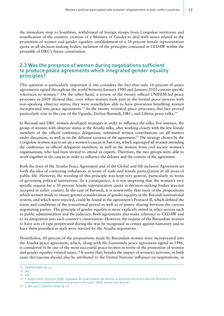the immediate stop to hostilities, withdrawal of foreign troops from Congolese territories and reunification of the country; creation of a Ministry of Gender to deal with issues related to the promotion of women and gender equality; establishment of a 30 percent female representation quota in all decision-making bodies; inclusion of the principles contained in CEDAW within the preamble of DRC's future constitution.

#### 2.3 Was the presence of women during negotiations sufficient to produce peace agreements which integrated gender equality principles?

This question is particularly important if one considers the fact that only 16 percent of peace agreements signed throughout the world between January 1990 and January 2010 contain specific references to women.12 On the other hand, a review of the twenty official UNIFEM-led peace processes in 2009 showed that, even when women took part in the formal peace process with non-speaking observer status, they were nonetheless able to have provisions benefiting women incorporated into peace agreements.13 In the twenty reviewed peace processes, this fact proved particularly true in the case of the Uganda, Darfur, Burundi, DRC, and Liberia peace talks.14

In Burundi and DRC women developed strategies in order to influence the talks. For instance, the group of women with observer status at the Arusha talks, after working closely with the few female members of the official conference delegations, submitted written contributions on all matters under discussion, as well as on the different versions of the agreement.<sup>15</sup> The strategy chosen by the Congolese women was to set up a women's caucus in Sun City, which regrouped all women attending the conference as official delegation members, as well as the women from civil society women's organisations, who had been invited to attend as experts. Therefore, the two groups were able to work together in the caucus in order to influence the debates and the content of the agreement.

Both the texts of the Arusha Peace Agreement and of the Global and All-inclusive Agreement set forth the idea of correcting imbalances in terms of male and female participation in all areas of public life. However, the wording of this principle was kept very general, particularly in terms of governing political institutions. As a consequence, it is not surprising that the women's very specific request for a 30 percent female representation quota in decision-making bodies was not accepted in either country. In the case of Burundi, it is noteworthy that most of the propositions which women made to ensure greater consideration of gender equality in the Burundi institutional system, and which were rejected, could be found in the agreement's Protocol II, which defined the terms and conditions of the transitional period as well as of power sharing between the various negotiating parties. The principle of gender equality is more explicitly stated in other sectors such as public administration and the judiciary. Both agreements also make reference to CEDAW and to its integration into each country's constitution. However, the request of the Burundian women to have acts of rape perpetrated during the war be recognised as crimes against humanity and to have them punished as such were rejected by the Arusha negotiators.

Nonetheless, 60 percent of the propositions made by Burundian women were incorporated into the Arusha peace agreement, which, along with the Guatemala peace agreement signed in 1996, is considered to be one of the most successful peace treaties in terms of the promotion of women and gender equality-related issues.16 It seems that, besides the impact of women's activism, in both cases this success should also be attributed to the United Nations' influence on negotiations, as

<sup>12</sup> UNIFEM (2009). *Op. cit.*

<sup>13</sup> *Ibid.*

<sup>14</sup> *Ibid.*

<sup>15</sup> Y. Budomo and I. Nzirorera (2006). 'Evaluation de la participation des femmes au processus électoral au Burundi [Evaluation of the participation of women in the électoral process in Burundi]', *ONUB,* Gender Unit: Burundi.

<sup>16</sup> C. Bell and C. O'Rourke (2010). *Op. Cit*.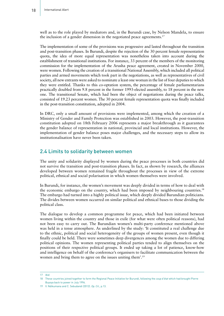well as to the role played by mediators and, in the Burundi case, by Nelson Mandela, to ensure the inclusion of a gender dimension in the negotiated peace agreements.<sup>17</sup>

The implementation of some of the provisions was progressive and lasted throughout the transition and post-transition phases. In Burundi, despite the rejection of the 30 percent female representation quota, the idea of more equal representation was nonetheless taken into account during the establishment of transitional institutions. For instance, 33 percent of the members of the monitoring commission for the implementation of the Arusha peace agreement, created in November 2000, were women. Following the creation of a transitional National Assembly, which included all political parties and armed movements which took part in the negotiations, as well as representatives of civil society, all new entrants were asked to nominate a least one woman in the list of four deputies to which they were entitled. Thanks to this co-optation system, the percentage of female parliamentarians practically doubled from 9.8 percent in the former 1993-elected assembly, to 18 percent in the new one. The transitional Senate, which had been the object of negotiations during the peace talks, consisted of 19.23 percent women. The 30 percent female representation quota was finally included in the post-transition constitution, adopted in 2004.

In DRC, only a small amount of provisions were implemented, among which the creation of a Ministry of Gender and Family Protection was established in 2003. However, the post-transition constitution adopted on 18th February 2006 represents a major breakthrough as it guarantees the gender balance of representation in national, provincial and local institutions. However, the implementation of gender balance poses major challenges, and the necessary steps to allow its institutionalisation have never been taken.

#### 2.4 Limits to solidarity between women

The unity and solidarity displayed by women during the peace processes in both countries did not survive the transition and post-transition phases. In fact, as shown by research, the alliances developed between women remained fragile throughout the processes in view of the extreme political, ethnical and social polarisation in which women themselves were involved.

In Burundi, for instance, the women's movement was deeply divided in terms of how to deal with the economic embargo on the country, which had been imposed by neighbouring countries.<sup>18</sup> The embargo had turned into a highly political issue, which deeply divided Burundian politicians. The divides between women occurred on similar political and ethnical bases to those dividing the political class.

The dialogue to develop a common programme for peace, which had been initiated between women living within the country and those in exile (for what were often political reasons), had not been easy to carry out. The Burundian women's multi-party conference mentioned above was held in a tense atmosphere. As underlined by the study: 'It constituted a real challenge due to the ethnic, political and social heterogeneity of the groups of women present, even though it finally could be held. There were sometimes deep divergences among the women due to differing political opinions. The women representing political parties tended to align themselves on the positions of their respective political groups. It ended up taking a lot of patience, know-how and intelligence on behalf of the conference's organisers to facilitate communication between the women and bring them to agree on the issues uniting them'.19

<sup>17</sup> *Ibid.*

<sup>18</sup> These countries joined together to form the Regional Peace Initiative for Burundi, following the *coup d'état* which had brought Pierre Buyoya back to power in July 1996.

<sup>19</sup> V. Ndikumana and C. Sebudandi (2012). *Op. Cit.,* p.13.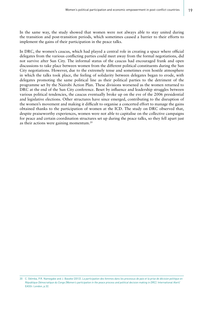In the same way, the study showed that women were not always able to stay united during the transition and post-transition periods, which sometimes caused a barrier to their efforts to implement the gains of their participation in the peace talks.

In DRC, the women's caucus, which had played a central role in creating a space where official delegates from the various conflicting parties could meet away from the formal negotiations, did not survive after Sun City. The informal status of the caucus had encouraged frank and open discussions to take place between women from the different political constituents during the Sun City negotiations. However, due to the extremely tense and sometimes even hostile atmosphere in which the talks took place, the feeling of solidarity between delegates began to erode, with delegates promoting the same political line as their political parties to the detriment of the programme set by the Nairobi Action Plan. These divisions worsened as the women returned to DRC at the end of the Sun City conference. Beset by influence and leadership struggles between various political tendencies, the caucus eventually broke up on the eve of the 2006 presidential and legislative elections. Other structures have since emerged, contributing to the disruption of the women's movement and making it difficult to organise a concerted effort to manage the gains obtained thanks to the participation of women at the ICD. The study on DRC observed that, despite praiseworthy experiences, women were not able to capitalise on the collective campaigns for peace and certain coordination structures set up during the peace talks, so they fell apart just as their actions were gaining momentum.20

<sup>20</sup> C. Odimba, P.R. Namegabe and J. Baseke (2012). *La participation des femmes dans les processus de paix et la prise de décision politique en République Démocratique du Congo [Women's participation in the peace process and political decision making in DRC]*. International Alert/ EASSI: London, p.32.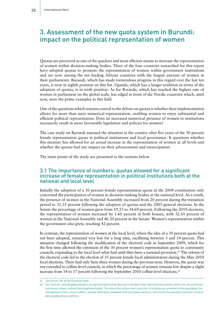## 3. Assessment of the new quota system in Burundi: impact on the political representation of women

Quotas are perceived as one of the quickest and most efficient means to increase the representation of women within decision-making bodies. Three of the four countries researched for this report have adopted quotas to promote the representation of women within government institutions and are now among the ten leading African countries with the largest amount of women in their parliaments. Burundi, which has made tremendous progress in this regard over the last ten years, is now in eighth position on this list. Uganda, which has a longer tradition in terms of the adoption of quotas, is in sixth position. As for Rwanda, which has reached the highest rate of women in parliament on the global scale, has edged in front of the Nordic countries which, until now, were the prime examples in this field.

One of the questions which remains central to the debate on quotas is whether their implementation allows for more than mere numerical representation, enabling women to enjoy substantial and efficient political representation. Does an increased numerical presence of women in institutions necessarily result in more favourable legislation and policies for women?

The case study on Burundi assessed the situation in the country after five years of the 30 percent female representation quota in political institutions and local governance. It questions whether this measure has allowed for an actual increase in the representation of women at all levels and whether the quotas had any impact on their advancement and emancipation.

The main points of the study are presented in the sections below.

#### 3.1 The importance of numbers: quotas allowed for a significant increase of female representation in political institutions both at the national and local level

Initially the adoption of a 30 percent female representation quota in the 2004 constitution only concerned the participation of women in decision-making bodies at the national level. As a result, the presence of women in the National Assembly increased from 20 percent during the transition period to 31.35 percent following the adoption of quotas and the 2005 general elections. In the Senate the percentage of women grew from 19.23 to 34.69 percent. Following the 2010 elections, the representation of women increased by 1.60 percent in both houses, with 32.10 percent of women in the National Assembly and 46.30 percent in the Senate. Women's representation within the government also grew, reaching 42 percent.

In contrast, the representation of women at the local level, where the idea of a 30 percent quota had not been adopted, remained very low for a long time, oscillating between 5 and 14 percent. This situation changed following the modification of the electoral code in September 2009, which for the first time allowed the extension of the 30 percent women's representation quota to community councils, expanding to the local level what had until then been a national provision.<sup>21</sup> The reform of the electoral code led to the election of 35 percent female local administrators during the May 2010 local elections. There had only been three women during the previous term. However, the quota was not extended to colline-level councils, in which the percentage of women remains low despite a slight increase from 14 to 17 percent following the September 2010 colline-level elections.<sup>22</sup>

<sup>21</sup> See Article 181 of the Electoral Code.

<sup>22</sup> The "Colline" (and Neighbourhood) is an administrative entity. Burundi is divided in four administrative entities which are: the provinces, communes, zones, collines (and neighbourhoods). The role of the colline-level councillor is to follow up, on behalf of the population, the management of the colline's affairs, provide arbitration, mediation and conciliation services, and ensure the peaceful resolution of social and neighbourhood conflicts.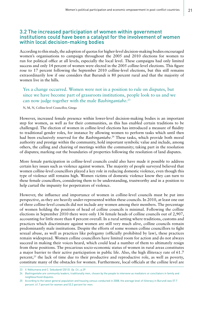#### 3.2 The increased participation of women within government institutions could have been a catalyst for the involvement of women within local decision-making bodies

According to this study, the adoption of quotas for higher-level decision-making bodies encouraged women's organisations to campaign throughout the 2005 and 2010 elections for women to run for political office at all levels, especially the local level. These campaigns had only limited success and only 14 percent of women were elected in the 2005 colline-level elections. This figure rose to 17 percent following the September 2010 colline-level elections, but this still remains extraordinarily low if one considers that Burundi is 80 percent rural and that the majority of women live in the hills.

Yes a change occurred. Women were not in a position to rule on disputes, but since we have become part of grassroots institutions, people look to us and we can now judge together with the male *Bashingantahe*. 23

N, M, N, Colline-level Councillor, Gitega

However, increased female presence within lower-level decision-making bodies is an important step for women, as well as for their communities, as this has enabled certain traditions to be challenged. The election of women in colline-level elections has introduced a measure of fluidity to traditional gender roles, for instance by allowing women to perform tasks which until then had been exclusively reserved for the *Bashingantahe.*24 These tasks, which provide both moral authority and prestige within the community, hold important symbolic value and include, among others, the calling and chairing of meetings within the community; taking part in the resolution of disputes; marking out the boundaries of properties following the resolution of land disputes.

More female participation in colline-level councils could also have made it possible to address certain key issues such as violence against women. The majority of people surveyed believed that women colline-level councillors played a key role in reducing domestic violence, even though this type of violence still remains high. Women victims of domestic violence know they can turn to these female councillors, considering them to be understanding, trustworthy and in a position to help curtail the impunity for perpetrators of violence.

However, the influence and importance of women in colline-level councils must be put into perspective, as they are heavily under-represented within these councils. In 2010, at least one out of three colline-level councils did not include any women among their members. The percentage of women holding the position of head of colline councils is minimal. Following the colline elections in September 2010 there were only 136 female heads of colline councils out of 2,907, accounting for little more than 4 percent overall. In a rural setting where traditions, customs and practices which discriminate against women are still very much alive, colline councils remain predominantly male institutions. Despite the efforts of some women colline councillors to fight sexual abuse, as well as practices like polygamy (officially prohibited by law), these practices remain widespread. Women colline councillors have limited room for action and do not always succeed in making their voices heard, which could lead a number of them to ultimately resign from these positions. The precarious socio-economic status of women in rural areas constitutes a major barrier to their active participation in public life. Also, the high illiteracy rate of 61.7 percent,<sup>25</sup> the lack of time due to their productive and reproductive role, as well as poverty, constitute many of the obstacles for women. Furthermore, local officials at the colline level are

<sup>23</sup> V. Ndikumana and C. Sebudandi (2012). *Op. Cit*., p.29

<sup>24</sup> *Bashingantahe* are community leaders, traditionally men, chosen by the people to intervene as mediators or conciliators in family and neighbourhood disputes.

<sup>25</sup> According to the latest general population and housing census conducted in 2008, the average level of illiteracy in Burundi was 57.7 percent: 61.7 percent for women and 53.2 percent for men.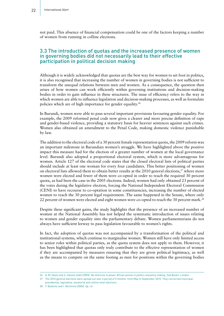not paid. This absence of financial compensation could be one of the factors keeping a number of women from running in colline elections.

#### 3.3 The introduction of quotas and the increased presence of women in governing bodies did not necessarily lead to their effective participation in political decision making

Although it is widely acknowledged that quotas are the best way for women to set foot in politics, it is also recognised that increasing the number of women in governing bodies is not sufficient to transform the unequal relations between men and women. As a consequence, the question then arises of how women can work efficiently within governing institutions and decision-making bodies in order to gain influence in these structures. The issue of efficiency refers to the way in which women are able to influence legislation and decision-making processes, as well as formulate policies which are of high importance for gender equality.26

In Burundi, women were able to pass several important provisions favouring gender equality. For example, the 2009 reformed penal code now gives a clearer and more precise definition of rape and gender-based violence, providing a statutory basis for heavier sentences against such crimes. Women also obtained an amendment to the Penal Code, making domestic violence punishable by law.

The addition to the electoral code of a 30 percent female representation quota, the 2009 reform was an important milestone in Burundian women's struggle. We have highlighted above the positive impact this measure had for the election of a greater number of women at the local governance level. Burundi also adopted a proportional electoral system, which is more advantageous for women. Article 127 of the electoral code states that the closed electoral lists of political parties should include at least one woman for every four candidates. This better positioning of women on electoral lists allowed them to obtain better results at the 2010 general elections,<sup>27</sup> where more women were elected and fewer of them were co-opted in order to reach the required 30 percent quota, as had been the case in the 2005 elections. Indeed, women had only obtained 23 percent of the votes during the legislative election, forcing the National Independent Electoral Commission (CENI) to have recourse to co-optation in some constituencies, increasing the number of elected women to reach the 30 percent legal requirement. The same happened in the Senate, where only 22 percent of women were elected and eight women were co-opted to reach the 30 percent mark.<sup>28</sup>

Despite these significant gains, the study highlights that the presence of an increased number of women at the National Assembly has not helped the systematic introduction of issues relating to women and gender equality into the parliamentary debate. Women parliamentarians do not always have sufficient leeway to pass legislation favourable to women's rights.

In fact, the adoption of quotas was not accompanied by a transformation of the political and institutional systems, which continue to marginalise women. Women still have only limited access to senior roles within political parties, as the quota system does not apply to them. However, it has been highlighted that quotas only truly contribute to the effective representation of women if they are accompanied by measures ensuring that they are given political legitimacy, as well as the means to compete on the same footing as men for positions within the governing bodies

28 Y. Budomo and I. Nzirorera (2006). *Op. cit*.

<sup>26</sup> A. M. Goetz and S. Hassim (eds) (2003). *No shortcuts to power. African women in politics and policy making*. Zed Books: London.

<sup>27</sup> The 2010 general elections were spread out over a period of 5 months, from May to September 2010. They concerned municipal,

presidential, legislative, senatorial and colline-level elections.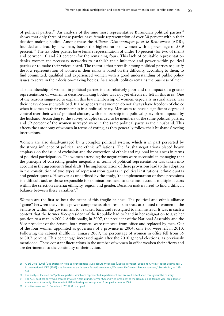of political parties.<sup>29</sup> An analysis of the nine most representative Burundian political parties<sup>30</sup> shows that only three of these parties have female representation of over 30 percent within their decision-making bodies. Among these the *Alliance Démocratique pour le Renouveau* (ADR), founded and lead by a woman, boasts the highest ratio of women with a percentage of 53.9 percent.31 The six other parties have female representation of under 10 percent (for two of them) and between 10 and 20 percent (for the remaining four). This lack of equitable representation denies women the necessary networks to establish their influence and power within political parties or to make their voices heard. The rhetoric that prevails among political parties to justify the low representation of women in their ranks is based on the difficulty, according to them, to find committed, qualified and experienced women with a good understanding of public policy issues to serve in their decision-making bodies. As a result, politics remains the business of men.

The membership of women in political parties is also relatively poor and the impact of a greater representation of women in decision-making bodies was not yet effectively felt in this area. One of the reasons suggested to explain this low membership of women, especially in rural areas, was their heavy domestic workload. It also appears that women do not always have freedom of choice when it comes to their membership in a political party. Men seem to have a significant degree of control over their wives' political choices, with membership in a political party often imposed by the husband. According to the survey, couples tended to be members of the same political parties, and 69 percent of the women surveyed were in the same political party as their husband. This affects the autonomy of women in terms of voting, as they generally follow their husbands' voting instructions.

Women are also disadvantaged by a complex political system, which is in part perverted by the strong influence of political and ethnic affiliations. The Arusha negotiations placed heavy emphasis on the issue of exclusion and the correction of ethnic and regional imbalances in terms of political participation. The women attending the negotiations were successful in managing that the principle of correcting gender inequality in terms of political representation was taken into account in the agreement's final draft. The implementation of these provisions lead to the adoption in the constitution of two types of representation quotas in political institutions: ethnic quotas and gender quotas. However, as underlined by the study, 'the implementation of these provisions is a difficult task as those responsible for nominations need to take into account multiple factors within the selection criteria: ethnicity, region and gender. Decision makers need to find a difficult balance between these variables'.32

Women are the first to bear the brunt of this fragile balance. The political and ethnic alliance "game" between the various power components often results in seats attributed to women in the Senate or within the government to be taken back and reassigned to men instead. It was in such a context that the former Vice-president of the Republic had to hand in her resignation to give her position to a man in 2006. Additionally, in 2007, the president of the National Assembly and the Vice-president of the Senate, both women, were removed from office and replaced by men. Out of the four women appointed as governors of a province in 2004, only two were left in 2010. Following the cabinet shuffle in January 2009, the percentage of women in office fell from 35 to 30.7 percent. This percentage increased again after the 2010 general elections, as previously mentioned. These constant fluctuations in the number of women in office weaken their efforts and are detrimental to the continuity of their action.

<sup>29</sup> A. Dé Diop (2002). 'Les quotas en Afrique Francophone : Des débuts modestes [Quotas in French-Speaking Africa: Modest Beginnings]', in International IDEA (2002). *Les femmes au parlement : Au-delà du nombre [Women in Parliament: Beyond numbers]*. Stockholm, pp.133- 142.

<sup>30</sup> The analysis focused on 9 political parties, which are represented in parliament and are well established throughout the country.

<sup>31</sup> The ADR political party was created by Alice Nzomukunda, former Second Vice-president of the Republic and former Vice-president of the National Assembly. She founded ADR following her resignation from parliament in 2008.

<sup>32</sup> V. Ndikumana and C. Sebudandi (2011). *Op. cit.*, p.41.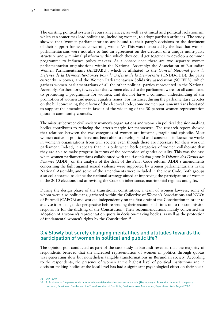The existing political system favours allegiances, as well as ethnical and political isolationism, which can sometimes lead politicians, including women, to adopt partisan attitudes. The study showed that 'women parliamentarians are bound to their party's decisions to the detriment of their support for issues concerning women'.33 This was illustrated by the fact that women parliamentarians were not able to find an agreement on the creation of a unique multi-party structure and a minimal platform within which they could get together to develop a common programme to influence policy makers. As a consequence there are two separate women parliamentarian organisations within the National Assembly: the Association of Burundian Women Parliamentarians (AFEPABU), which is affiliated to the *Conseil National pour la Défense de la Démocratie-Forces pour la Défense de la Démocratie* (CNDD-FDD), the party currently in power, and the Women Parliamentarian Solidarity association (SOFEPA), which gathers women parliamentarians of all the other political parties represented in the National Assembly. Furthermore, it was clear that women elected to the parliament were not all committed to promoting a programme for women, and did not have a common understanding of the promotion of women and gender equality issues. For instance, during the parliamentary debates on the bill concerning the reform of the electoral code, some women parliamentarians hesitated to support the amendment in favour of the widening of the 30 percent women representation quota in community councils.

The mistrust between civil society women's organisations and women in political decision-making bodies contributes to reducing the latter's margin for manoeuvre. The research report showed that relations between the two categories of women are informal, fragile and episodic. Most women active in politics have not been able to develop solid and consistent influence networks in women's organisations from civil society, even though these are necessary for their work in parliament. Indeed, it appears that it is only when both categories of women collaborate that they are able to make progress in terms of the promotion of gender equality. This was the case when women parliamentarians collaborated with the *Association pour la Défense des Droits des Femmes* (ADDF) on the analysis of the draft of the Penal Code reform. ADDF's amendments concerning the fight against sexual violence were supported by women parliamentarians in the National Assembly, and some of the amendments were included in the new Code. Both groups also collaborated to define the national strategy aimed at improving the participation of women in the 2010 elections and at revising the Code on inheritance, matrimonial regimes and gifts.

During the design phase of the transitional constitution, a team of women lawyers, some of whom were also politicians, gathered within the Collective of Women's Associations and NGOs of Burundi (CAFOB) and worked independently on the first draft of the Constitution in order to analyse it from a gender perspective before sending their recommendations on to the commission responsible for the drafting of the Constitution. Their recommendations mainly concerned the adoption of a women's representation quota in decision-making bodies, as well as the protection of fundamental women's rights by the Constitution.<sup>34</sup>

#### 3.4 Slowly but surely changing mentalities and attitudes towards the participation of women in political and public life?

The opinion poll conducted as part of the case study in Burundi revealed that the majority of respondents believed that the increased representation of women in politics through quotas was generating slow but nonetheless tangible transformations in Burundian society. According to the respondents, the presence of women at the highest level of political institutions and in decision-making bodies at the local level has had a significant psychological effect on their social

<sup>33</sup> *Ibid*., p.40.

<sup>34</sup> S. Sabimbona. 'Le parcours de la femme burundaise dans les processus de paix [The journey of Burundian women in the peace process]', Session on Gender and the Transformation of Conflicts, Dushirehamwe Association, Bujumbura, 26th August 2002.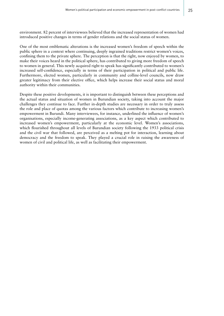environment. 82 percent of interviewees believed that the increased representation of women had introduced positive changes in terms of gender relations and the social status of women.

One of the most emblematic alterations is the increased women's freedom of speech within the public sphere in a context where continuing, deeply ingrained traditions restrict women's voices, confining them to the private sphere. The perception is that the right, now enjoyed by women, to make their voices heard in the political sphere, has contributed to giving more freedom of speech to women in general. This newly acquired right to speak has significantly contributed to women's increased self-confidence, especially in terms of their participation in political and public life. Furthermore, elected women, particularly in community and colline-level councils, now draw greater legitimacy from their elective office, which helps increase their social status and moral authority within their communities.

Despite these positive developments, it is important to distinguish between these perceptions and the actual status and situation of women in Burundian society, taking into account the major challenges they continue to face. Further in-depth studies are necessary in order to truly assess the role and place of quotas among the various factors which contribute to increasing women's empowerment in Burundi. Many interviewees, for instance, underlined the influence of women's organisations, especially income-generating associations, as a key aspect which contributed to increased women's empowerment, particularly at the economic level. Women's associations, which flourished throughout all levels of Burundian society following the 1933 political crisis and the civil war that followed, are perceived as a melting pot for interaction, learning about democracy and the freedom to speak. They played a crucial role in raising the awareness of women of civil and political life, as well as facilitating their empowerment.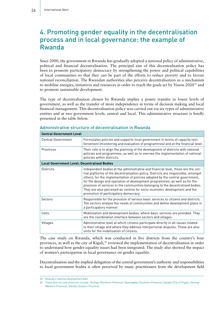## 4. Promoting gender equality in the decentralisation process and in local governance: the example of Rwanda

Since 2000, the government in Rwanda has gradually adopted a national policy of administrative, political and financial decentralisation. The principal aim of this decentralisation policy has been to promote participatory democracy by strengthening the power and political capabilities of local communities so that they can be part of the efforts to reduce poverty and to favour national reconciliation. The Rwandan authorities also perceive decentralisation as a mechanism to mobilise energies, initiatives and resources in order to reach the goals set by Vision  $2020^{35}$  and to promote sustainable development.

The type of decentralisation chosen by Rwanda implies a power transfer to lower levels of government, as well as the transfer of more independence in terms of decision making and local financial management. This decentralisation policy was carried out via six types of administrative entities and at two government levels: central and local. This administrative structure is briefly presented in the table below.

| <b>Central Government Level</b>                     |                                                                                                                                                                                                                                                                                                                                                                                                                                                                                                                                               |  |  |  |
|-----------------------------------------------------|-----------------------------------------------------------------------------------------------------------------------------------------------------------------------------------------------------------------------------------------------------------------------------------------------------------------------------------------------------------------------------------------------------------------------------------------------------------------------------------------------------------------------------------------------|--|--|--|
| <b>Central Government</b>                           | Formulates policies and supports local government in terms of capacity rein-<br>forcement (monitoring and evaluation of programmes) and at the financial level                                                                                                                                                                                                                                                                                                                                                                                |  |  |  |
| Provinces                                           | Their role is to align the planning of the development of districts with national<br>policies and programmes, as well as to oversee the implementation of national<br>policies within districts.                                                                                                                                                                                                                                                                                                                                              |  |  |  |
| <b>Local Government Level: Decentralised Bodies</b> |                                                                                                                                                                                                                                                                                                                                                                                                                                                                                                                                               |  |  |  |
| Districts                                           | Independent bodies at the administrative and financial level, these are the cen-<br>tral platforms of the decentralisation policy. Districts are responsible, amongst<br>others, for the implementation of policies adopted by the central government,<br>for the design and operation of development programmes, as well as for the<br>provision of services to the communities belonging to the decentralised bodies.<br>They are also perceived as centres for socio-economic development and the<br>promotion of participatory democracy. |  |  |  |
| Sectors                                             | Responsible for the provision of various basic services to citizens and districts.<br>The sectors analyse the needs of communities and define development plans in<br>a participatory manner.                                                                                                                                                                                                                                                                                                                                                 |  |  |  |
| Cells                                               | Mobilisation and development bodies, where basic services are provided. They<br>are the coordination interface between sectors and villages.                                                                                                                                                                                                                                                                                                                                                                                                  |  |  |  |
| Villages                                            | Administrative level at which citizens participate directly in all issues related<br>to their village and where they address interpersonal disputes. These are also<br>units for the mobilisation of citizens.                                                                                                                                                                                                                                                                                                                                |  |  |  |

#### Administrative structure of decentralisation in Rwanda

The case study on Rwanda, which was conducted in five districts from the country's four provinces, as well as the city of Kigali,36 reviewed the implementation of decentralisation in order to understand how gender equality issues had been integrated. The study also showed the impact of women's participation in local governance on gender equality.

Decentralisation and the implied delegation of the central government's authority and responsibilities to local government bodies is often perceived by many practitioners from the development field

<sup>35</sup> Rwanda's national development plan.

<sup>36</sup> These districts and provinces include: Rulingo (Northern Province); Nyamagabe (Southern Province); Gasabo (City of Kigali); Karongi (Western Province); Gatsibo (Eastern Province).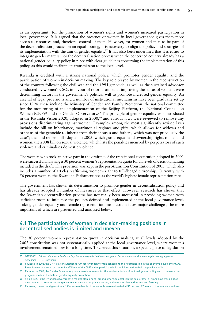as an opportunity for the promotion of women's rights and women's increased participation in local governance. It is argued that the presence of women in local governance gives them more access to resources and, therefore, control of them. However, for women and men to be part of the decentralisation process on an equal footing, it is necessary to align the policy and strategies of its implementation with the aim of gender equality.<sup>37</sup> It has also been underlined that it is easier to integrate gender matters into the decentralisation process when the concerned country already has a national gender equality policy in place with clear guidelines concerning the implementation of this policy, as this would facilitate its transmission to the local level.

Rwanda is credited with a strong national policy, which promotes gender equality and the participation of women in decision making. The key role played by women in the reconstruction of the country following the civil war and the 1994 genocide, as well as the sustained advocacy conducted by women's CSOs in favour of reforms aimed at improving the status of women, were determining factors in the government's political will to promote increased gender equality. An arsenal of legal provisions and a number of institutional mechanisms have been gradually set up since 1994; these include the Ministry of Gender and Family Protection, the national committee for the monitoring of the implementation of the Beijing Platform, the National Council on Women (CNF)<sup>38</sup> and the Gender Observatory.<sup>39</sup> The principle of gender equality was introduced in the Rwanda Vision 2020, adopted in 2000,<sup>40</sup> and various laws were reviewed to remove any provisions discriminating against women. Examples among the most significantly revised laws include the bill on inheritance, matrimonial regimes and gifts, which allows for widows and orphans of the genocide to inherit from their spouses and fathers, which was not previously the case41; the land reform bill adopted in 2005, which grants equal land ownership rights to men and women; the 2008 bill on sexual violence, which lists the penalties incurred by perpetrators of such violence and criminalises domestic violence.

The women who took an active part in the drafting of the transitional constitution adopted in 2001 were successful in having a 30 percent women 's representation quota for all levels of decision making included in the draft. This provision was kept in the post-transition Constitution of 2003, which also includes a number of articles reaffirming women's right to full-fledged citizenship. Currently, with 56 percent women, the Rwandan Parliament boasts the world's highest female representation rate.

The government has shown its determination to promote gender in decentralisation policy and has already adopted a number of measures to that effect. However, research has shown that the Rwandan decentralisation process has not really been successful in providing women with sufficient room to influence the policies defined and implemented at the local governance level. Taking gender equality and female representation into account faces major challenges, the more important of which are presented and analysed below.

#### 4.1 The participation of women in decision-making positions in decentralised bodies is limited and uneven

The 30 percent women representation quota in decision making at all levels adopted by the 2003 constitution was not systematically applied at the local governance level, where women's involvement remained low for a long time. To correct this situation, a specific piece of legislation

<sup>37</sup> GTZ (2001). *Décentralisation – Guide sur la prise en charge de la dimension genre* [*Decentralisation: Guide on implementing a gender dimension*]. GTZ: Eschborn.

<sup>38</sup> Founded in 2003, the CNF is a consultation forum for Rwandan women concerning their participation in the country's development. All Rwandan women are expected to be affiliates of the CNF and to participate in its activities within their respective entities.

<sup>39</sup> Founded in 2008, the Gender Observatory has a mandate to monitor the implementation of national gender policy and to measure the progress made in the field of gender equality promotion.

<sup>40</sup> Vision 2020 is the Rwandan government's master plan aiming, among others, to establish the rule of law in Rwanda, as well as good governance, to promote a strong economy, to develop the private sector, and to modernise agriculture and farming.

<sup>41</sup> Following the war and genocide in 1994, women heads of households were estimated at 34 percent, 29 percent of whom were widows.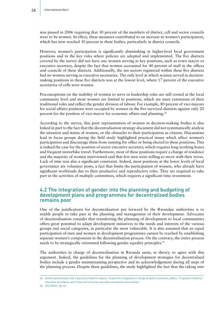was passed in 2006 requiring that 30 percent of the members of district, cell and sector councils were to be women. In effect, these measures contributed to an increase in women's participation, which has now reached 30 percent in these bodies, particularly in district councils.

However, women's participation is significantly diminishing in higher-level local government positions and in the key roles where policies are adopted and implemented. The five districts covered by the survey did not have any women serving in key positions, such as town mayor or executive secretary, despite the fact that women accounted for 40 percent of staff in the offices and councils of these districts. Additionally, the ten sectors registered within these five districts had no women serving as executive secretaries. The only level at which women served in decisionmaking positions in these five districts was at the lowest level, where 17 percent of the executive secretaries of cells were women.

Preconceptions on the inability of women to serve in leadership roles are still rooted at the local community level and most women are limited to positions, which are mere extensions of their traditional roles and reflect the gender division of labour. For example, 80 percent of vice-mayors for social affairs positions were occupied by women in the five surveyed districts against only 20 percent for the position of vice-mayor for economic affairs and planning.42

According to the survey, this poor representation of women in decision-making bodies is also linked in part to the fact that the decentralisation strategy document did not systematically analyse the situation and status of women, or the obstacles to their participation as citizens. Discussions lead in focus groups during the field study highlighted practical issues which affect women's participation and discourage them from running for office or being elected to these positions. This is indeed the case for the position of sector executive secretary, which requires long working hours and frequent motorbike travel. Furthermore, most of these positions require a change of residence and the majority of women interviewed said that few men were willing to move with their wives. Lack of time was also a significant constraint. Indeed, most positions at the lower levels of local governance are volunteer posts, a fact that limits the participation of women, who already have significant workloads due to their productive and reproductive roles. They are required to take part in the activities of multiple committees, which requires a significant time investment.

#### 4.2 The integration of gender into the planning and budgeting of development plans and programmes for decentralised bodies remains poor

One of the justifications for decentralisation put forward by the Rwandan authorities is to enable people to take part in the planning and management of their development. Advocates of decentralisation consider that transferring the planning of development to local communities offers great potential to adapt development initiatives to the needs and interests of the various groups and social categories, in particular the most vulnerable. It is also assumed that an equal participation of men and women in development programmes cannot be reached by establishing separate women's components in the decentralisation process. On the contrary, the entire process needs to be strategically orientated following gender equality principles.<sup>43</sup>

The authorities in charge of decentralisation in Rwanda seem, in theory, to agree with this argument. Indeed, the guidelines for the planning of development strategies for decentralised bodies include a gender mainstreaming perspective and its acknowledgement during all steps of the planning process. Despite these guidelines, the study highlighted the fact that the taking into

<sup>42</sup> At the national level, only 7 percent of district mayors, 13 percent of deputies in charge of district economic affairs, 17 percent of district executive secretaries and 13 percent of sector executive secretaries were women.

<sup>43</sup> GTZ (2001). *Op. Cit*.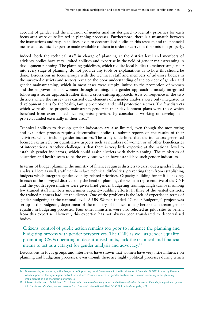account of gender and the inclusion of gender analysis designed to identify priorities for each focus area were quite limited in planning processes. Furthermore, there is a mismatch between the instructions and responsibilities given to decentralised bodies in this respect, and the financial means and technical expertise made available to them in order to carry out their mission properly.

Indeed, both the technical staff in charge of planning at the district level and members of advisory bodies have very limited abilities and expertise in the field of gender mainstreaming in development planning. The planning guidelines, which require local bodies to mainstream gender into every stage of planning, do not provide any tools or explanations as to how this should be done. Discussions in focus groups with the technical staff and members of advisory bodies in the surveyed districts and sectors revealed the poor understanding of the concept of gender and gender mainstreaming, which in most cases were simply limited to the promotion of women and the empowerment of women through training. The gender approach is mostly integrated following a sector approach rather than a cross-cutting approach. As a consequence in the two districts where the survey was carried out, elements of a gender analysis were only integrated in development plans for the health, family promotion and child protection sectors. The few districts which were able to properly mainstream gender in their development plans were those which benefited from external technical expertise provided by consultants working on development projects funded externally in their area.<sup>44</sup>

Technical abilities to develop gender indicators are also limited, even though the monitoring and evaluation process requires decentralised bodies to submit reports on the results of their activities, which include gender indicators. The study underlined that the indicators generated focused exclusively on quantitative aspects such as numbers of women or of other beneficiaries of interventions. Another challenge is that there is very little expertise at the national level to establish gender indicators, which could assist districts with their planning. The ministries of education and health seem to be the only ones which have established such gender indicators.

In terms of budget planning, the ministry of finance requires districts to carry out a gender budget analysis. Here as well, staff members face technical difficulties, preventing them from establishing budgets which integrate gender equality-related priorities. Capacity building for staff is lacking. In each of the surveyed districts only the head of planning, the woman representative of the CNF and the youth representative were given brief gender budgeting training. High turnover among few trained staff members undermines capacity-building efforts. In three of the visited districts, the trained planners had left the district. One of the problems is the lack of expertise in terms of gender budgeting at the national level. A UN Women-funded "Gender Budgeting" project was set up in the budgeting department of the ministry of finance to help better mainstream gender equality in budgeting processes. Four other ministries were also selected as pilot sites to benefit from this expertise. However, this expertise has not always been transferred to decentralised bodies.

Citizens' control of public action remains too poor to influence the planning and budgeting process with gender perspectives. The CNF, as well as gender equality promoting CSOs operating in decentralised units, lack the technical and financial means to act as a catalyst for gender analysis and advocacy.<sup>45</sup>

Discussions in focus groups and interviews have shown that women have very little influence on planning and budgeting processes, even though these are highly political processes during which

<sup>44</sup> One example, for instance, is the Programme Supporting Local Governance in the Rural Areas of Rwanda (PAGOR) funded by Canada, which supported the Nyamagabe district in Southern Province in terms of gender analysis and its mainstreaming in the planning, implementation and monitoring of projects.

<sup>45</sup> I. Mukankubito and J.D. Mihigo (2011). *Intégration du genre dans les processus de décentralisation: leçons du Rwanda [Integration of gender into the decentralisation process: lessons from Rwanda]*. International Alert &EASSI: London/Kampala, p.30.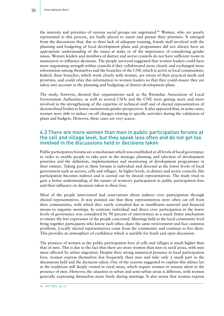the interests and priorities of various social groups are negotiated.<sup>46</sup> Women, who are poorly represented in this process, are badly placed to assert and pursue their priorities. It emerged from the discussions that, due to their lack of adequate training, female staff involved with the planning and budgeting of local development plans and programmes did not always have an appropriate understanding of the issues at stake or of the importance of considering gender issues. Women leaders and members of district and sector councils do not have sufficient room to manoeuvre to influence decisions. The people surveyed suggested that women leaders could have more negotiating strength within councils if they collaborated more closely and exchanged more information among themselves and the branches of the CNF, which is active in local communities. Indeed, these branches, which work closely with women, are aware of their practical needs and priorities, and could relay this information to women leaders so that they could ensure they are taken into account in the planning and budgeting of district development plans.

The study, however, showed that organisations such as the Rwandan Association of Local Government Authorities, as well as several CSOs and the CNF, were getting more and more involved in the strengthening of the expertise of technical staff and of elected representatives of decentralised bodies to better mainstream gender perspectives. It also appeared that, in some cases, women were able to induce on-off changes relating to specific activities during the validation of plans and budgets. However, these cases are very scarce.

#### 4.3 There are more women than men in public participation forums at the cell and village level, but they speak less often and do not get too involved in the discussions held or decisions taken

Public participation forums are a mechanism which was established at all levels of local governance in order to enable people to take part in the strategic planning and selection of development priorities and the definition, implementation and monitoring of development programmes in their entities. Taking part in these forums is individual and directed at the lower levels of local government such as sectors, cells and villages. At higher levels, in district and sector councils, this participation becomes indirect and is carried out by elected representatives. The study tried to gain a better understanding of the nature of women's participation in public participation fora and their influence on decisions taken in these fora.

Most of the people interviewed had reservations about indirect civic participation through elected representatives. It was pointed out that these representatives were often cut off from their communities, with which they rarely consulted due to insufficient material and financial means to organise meetings. In contrast, individual and direct civic participation at the lower levels of governance was considered by 90 percent of interviewees as a much better mechanism to ensure the free expression of the people concerned. Meetings held at the local community level bring together participants who know each other, share the same environment and face common problems. Locally elected representatives come from the community and continue to live there. This provides an atmosphere of confidence which is suitable for frank and open discussion.

The presence of women in the public participation fora of cells and villages is much higher than that of men. This is due to the fact that there are more women than men in rural areas, with men more affected by urban migration. Despite their strong numerical presence in local participation fora, women express themselves less frequently than men and take only a small part in the discussions held and the decisions taken. One of the reasons suggested to explain this silence lay in the traditions still deeply rooted in rural areas, which require women to remain silent in the presence of men. However, the situation in urban and semi-urban areas is different, with women generally expressing themselves more freely during meetings. It also seems that women express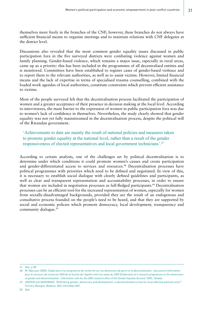themselves more freely in the branches of the CNF; however, these branches do not always have sufficient financial means to organise meetings and to maintain relations with CNF delegates at the district level.

Discussions also revealed that the most common gender equality issues discussed in public participation fora in the five surveyed districts were combating violence against women and family planning. Gender-based violence, which remains a major issue, especially in rural areas, came up as a priority: this has been included in the programmes of all decentralised entities and is monitored. Committees have been established to register cases of gender-based violence and to report them to the relevant authorities, as well as to assist victims. However, limited financial means and the lack of expertise in terms of specialised trauma counselling, combined with the loaded work agendas of local authorities, constitute constraints which prevent efficient assistance to victims.

Most of the people surveyed felt that the decentralisation process facilitated the participation of women and a greater acceptance of their presence in decision making at the local level. According to interviewees, the main barrier to the expression of women in public participation fora was due to women's lack of confidence in themselves. Nevertheless, the study clearly showed that gender equality was not yet fully mainstreamed in the decentralisation process, despite the political will of the Rwandan government.

'Achievements to date are mainly the result of national policies and measures taken to promote gender equality at the national level, rather than a result of the gender responsiveness of elected representatives and local government technicians'.47

According to certain analysts, one of the challenges set by political decentralisation is to determine under which conditions it could promote women's causes and create participation and gender-differentiated access to services and resources.<sup>48</sup> Decentralisation processes have political programmes with priorities which need to be defined and negotiated. In view of this, it is necessary to establish social dialogue with clearly defined guidelines and participants, as well as clear and transparent representation and accountability processes, in order to ensure that women are included in negotiation processes as full-fledged participants.<sup>49</sup> Decentralisation processes can be an efficient tool for the increased representation of women, especially for women from socially-disadvantaged backgrounds, provided they are the result of an endogenous and consultative process founded on the people's need to be heard, and that they are supported by social and economic policies which promote democracy, local development, transparency and community dialogue.50

<sup>47</sup> *Ibid*., p.38.

<sup>48</sup> M. MacLean (2003). *Elaboration d'un programme de recherche sur les dimensions de genre et la décentralisation : document d'information pour le concours de recherche 2003 de la Section de l'égalité entre les sexes du CRDI* [*Elaboration of a research programme on the dimensions of gender and décentralisation : Information note for the 2003 research office of the Gender Equality Section*]*.* IDRC: Ottawa.

<sup>49</sup> UNIFEM and VADO/WAVE. 'Rethinking gender, democracy and development: is decentralisation a tool for local effective political voice?' Ferrara, Bologna, Modena, 20th-22nd May 2001.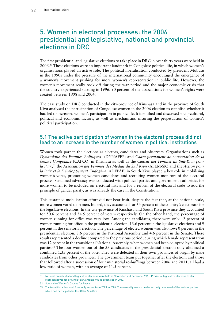## 5. Women in electoral processes: the 2006 presidential and legislative, national and provincial elections in DRC

The first presidential and legislative elections to take place in DRC in over thirty years were held in 2006.51 These elections were an important landmark in Congolese political life, in which women's organisations played an active role. The political liberalisation conducted by president Mobutu in the 1990s under the pressure of the international community encouraged the emergence of a women's movement pushing for more women's representation in public life. However, the women's movement really took off during the war period and the major economic crisis that the country experienced starting in 1996. 90 percent of the associations for women's rights were created between 1998 and 2004.

The case study on DRC conducted in the city-province of Kinshasa and in the province of South Kivu analysed the participation of Congolese women in the 2006 election to establish whether it had led to increased women's participation in public life. It identified and discussed socio-cultural, political and economic factors, as well as mechanisms ensuring the perpetuation of women's political participation.

#### 5.1 The active participation of women in the electoral process did not lead to an increase in the number of women in political institutions

Women took part in the elections as electors, candidates and observers. Organisations such as *Dynamique des Femmes Politiques* (DYNAFEP) and *Cadre permanent de concertation de la femme Congolaise* (CAFCO) in Kinshasa as well as the *Caucus des Femmes du Sud-Kivu pour la Paix,*52 the *Association des Femmes des Médias du Sud Kivu* (AFEM-SK) and the *Action pour la Paix et le Développement Endogène* (ADEPAE) in South Kivu played a key role in mobilising women's votes, promoting women candidates and recruiting women monitors of the electoral process. Sustained advocacy was conducted with political parties and government authorities for more women to be included on electoral lists and for a reform of the electoral code to add the principle of gender parity, as was already the case in the Constitution.

This sustained mobilisation effort did not bear fruit, despite the fact that, at the national scale, more women voted than men. Indeed, they accounted for 64 percent of the country's electorate for the legislative elections. In the city-province of Kinshasa and South Kivu province they accounted for 50.6 percent and 54.5 percent of voters respectively. On the other hand, the percentage of women running for office was very low. Among the candidates, there were only 12 percent of women running for office in the presidential election, 13.6 percent in the legislative elections and 9 percent in the senatorial election. The percentage of elected women was also low: 0 percent in the presidential election, 8.6 percent in the National Assembly and 4.6 percent in the Senate. These results represented a decline compared to the previous period, during which female representation was 12 percent in the transitional National Assembly, when women had been co-opted by political parties.53 The four women out of the 33 candidates in the presidential election only obtained a combined 1.35 percent of the vote. They were defeated in their own provinces of origin by male candidates from other provinces. The government team put together after the election, and those that followed after a succession of four ministerial reshufflings between 2006 and 2011, all had a low ratio of women, with an average of 11.5 percent.

<sup>51</sup> National presidential and legislative elections were held in November and December 2011. Provincial legislative elections to elect representatives for provincial parliaments will be organised in 2013.

<sup>52</sup> South Kivu Women's Caucus for Peace.

<sup>53</sup> The transitional National Assembly served from 2003 to 2006. The assembly was an unelected body composed of the various parties which had participated in the ICD in Sun City.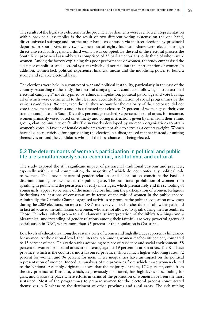The results of the legislative elections in the provincial parliaments were even lower. Representation within provincial assemblies is the result of two different voting systems: on the one hand, direct universal suffrage and, on the other hand, co-optation via indirect elections by provincial deputies. In South Kivu only two women out of eighty-four candidates were elected through direct universal suffrage, and a third woman was co-opted. By the end of the electoral process the South Kivu provincial assembly was comprised of 33 parliamentarians, only three of whom were women. Among the factors explaining this poor performance of women, the study emphasised the existence of political and electoral systems which did not facilitate the participation of women. In addition, women lack political experience, financial means and the mobilising power to build a strong and reliable electoral base.

The elections were held in a context of war and political instability, particularly in the east of the country. According to the study, the electoral campaign was conducted following a "transactional electoral campaign" model typified by ethnic manipulation, political patronage and vote buying, all of which were detrimental to the clear and accurate formulation of social programmes by the various candidates. Women, even though they account for the majority of the electorate, did not vote for women candidates and it is estimated that close to 78 percent of women gave their vote to male candidates. In South Kivu this percentage reached 82 percent. In rural areas, for instance, women primarily voted based on ethnicity and voting instructions given by men from their ethnic group, clan, community or family. The networks developed by women's organisations to attain women's votes in favour of female candidates were not able to serve as a counterweight. Women have also been criticised for approaching the election in a disorganised manner instead of uniting themselves around the candidates who had the best chances of being elected.

#### 5.2 The determinants of women's participation in political and public life are simultaneously socio-economic, institutional and cultural

The study exposed the still significant impact of patriarchal traditional customs and practices, especially within rural communities, the majority of which do not confer any political role to women. The uneven nature of gender relations and socialisation constitute the basis of discrimination against women in the public space. The traditional prohibition of women from speaking in public and the persistence of early marriages, which prematurely end the schooling of young girls, appear to be some of the many factors limiting the participation of women. Religious institutions are bastions of conservatism in terms of the role of women in the public sphere. Admittedly, the Catholic Church organised activities to promote the political education of women during the 2006 elections, but most of DRC's many revivalist Churches did not follow this path and in fact advocated the submission of women, who are not allowed to speak during their assemblies. Those Churches, which promote a fundamentalist interpretation of the Bible's teachings and a hierarchical understanding of gender relations among their faithful, are very powerful agents of socialisation in DRC, where more than 95 percent of the population is Christian.

Low levels of education among the vast majority of women and high illiteracy represent a hindrance for women. At the national level, the illiteracy rate among women reaches 40 percent, compared to 15 percent of men. This ratio varies according to place of residence and social environment. 58 percent of women from rural areas are illiterate, against 19 percent in urban areas. The Kinshasa province, which is the country's most favoured province, shows much higher schooling rates: 92 percent for women and 96 percent for men. These inequalities have an impact on the political representation of women. Indeed, an analysis of the provinces from which those women elected to the National Assembly originate, shows that the majority of them, 17.2 percent, come from the city-province of Kinshasa, which, as previously mentioned, has high levels of schooling for girls, and is also the place where efforts in terms of the promotion of women have been the most sustained. Most of the programmes to prepare women for the electoral process concentrated themselves in Kinshasa to the detriment of other provinces and rural areas. The rich mining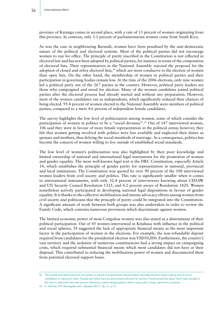province of Katanga comes in second place, with a rate of 13 percent of women originating from this province. In contrast, only 3.1 percent of parliamentarian women come from South Kivu.

As was the case in neighbouring Burundi, women have been penalised by the anti-democratic nature of the political and electoral systems. Most of the political parties did not encourage women to run for office. The principle of parity inscribed in the Constitution is not reflected in electoral law and has not been adopted by political parties, for instance in terms of the composition of electoral lists. Their representatives in the National Assembly rejected the proposal for the adoption of closed and zebra electoral lists,<sup>54</sup> which are more conducive to the election of women than open lists. On the other hand, the membership of women in political parties and their participation in governing bodies remain low. At the time of the 2006 elections, only nine women led a political party out of the 267 parties in the country. However, political party leaders are those who campaigned and stood for election. Many of the women candidates joined political parties after the electoral process had already started and without any preparation. However, most of the women candidates ran as independents, which significantly reduced their chances of being elected. 95.4 percent of women elected to the National Assembly were members of political parties, compared to a mere 4.6 percent of independent female candidates.

The survey highlights the low level of politicisation among women, some of which consider the participation of women in politics to be a "social deviance".55 Out of 147 interviewed women, 106 said they were in favour of more female representation in the political arena; however, they felt that women getting involved with politics were less available and neglected their duties as spouses and mothers, thus defying the social standards of marriage. As a consequence, politics has become the concern of women willing to live outside of established social standards.

The low level of women's politicisation was also highlighted by their poor knowledge and limited ownership of national and international legal instruments for the promotion of women and gender equality. The most well-known legal text is the DRC Constitution, especially Article 14, which establishes the principle of gender parity for representation in national, provincial and local institutions. The Constitution was quoted by over 90 percent of the 108 interviewed women leaders from civil society and politics. This rate is significantly smaller when it comes to international instruments, with only 32.4 percent of interviewees knowing about CEDAW and UN Security Council Resolution 1325, and 4.2 percent aware of Resolution 1820. Women nonetheless actively participated in developing national legal dispositions in favour of gender equality. It is thanks to the collective mobilisation and intense advocacy efforts among women from civil society and politicians that the principle of parity could be integrated into the Constitution. A significant amount of work between both groups was also undertaken in order to review the Family Code, which contains numerous provisions which discriminate against women.

The limited economic power of most Congolese women was also stated as a determinant of their political participation. Out of 45 women interviewed in Kinshasa with influence in the political and social spheres, 39 suggested the lack of appropriate financial means as the most important factor in the participation of women in the elections. For example, the non-refundable deposit required from candidates for the presidential election was USD50,000. Furthermore, the country's vast territory and the isolation of numerous constituencies had a strong impact on campaigning costs, which required substantial financial means which most candidates did not have at their disposal. This contributed to reducing the mobilisation power of women and disconnected them from potential electoral support bases.

<sup>54</sup> The closed and zebra electoral list system is a kind of proportional representation whereby electors chose a party and its list of candidates to represent them. Closed and zebra lists are particularly efficient for women if political parties place them high enough in the lists or alternate men and women following a zebra striped pattern where every other stripe represents a woman.

<sup>55</sup> C. Odimba, P.R. Namegabe and J. Baseke (2011). *Op. cit.*, p.15.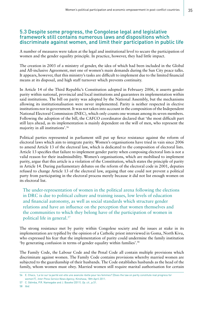#### 5.3 Despite some progress, the Congolese legal and legislative framework still contains numerous laws and dispositions which discriminate against women, and limit their participation in public life

A number of measures were taken at the legal and institutional level to secure the participation of women and the gender equality principle. In practice, however, they had little impact.

The creation in 2003 of a ministry of gender, the idea of which had been included in the Global and All-inclusive Agreement, met one of women's main demands during the Sun City peace talks. It appears, however, that this ministry's tasks are difficult to implement due to the limited financial means at its disposal, and high staff turnover which prevents continuity.

In Article 14 of the Third Republic's Constitution adopted in February 2006, it asserts gender parity within national, provincial and local institutions and guarantees its implementation within said institutions. The bill on parity was adopted by the National Assembly, but the mechanisms allowing its institutionalisation were never implemented. Parity is neither respected in elective institutions nor in government. It was not taken into account in the composition of the Independent National Electoral Commission (INEC), which only counts one woman among its seven members. Following the adoption of the bill, the CAFCO coordinator declared that 'the most difficult part still lays ahead, as its implementation is mainly dependent on the will of men, who represent the majority in all institutions'.56

Political parties represented in parliament still put up fierce resistance against the reform of electoral laws which aim to integrate parity. Women's organisations have tried in vain since 2006 to amend Article 13 of the electoral law, which is dedicated to the composition of electoral lists. Article 13 specifies that failure to implement gender parity when composing electoral lists is not a valid reason for their inadmissibility. Women's organisations, which are mobilised to implement parity, argue that this article is a violation of the Constitution, which states the principle of parity in Article 14. During parliamentary debates on the reform of the electoral code in 2001, deputies refused to change Article 13 of the electoral law, arguing that one could not prevent a political party from participating in the electoral process merely because it did not list enough women on its electoral list.

The under-representation of women in the political arena following the elections in DRC is due to political culture and training issues, low levels of education and financial autonomy, as well as social standards which structure gender relations and have an influence on the perception that women themselves and the communities to which they belong have of the participation of women in political life in general.57

The strong resistance met by parity within Congolese society and the issues at stake in its implementation are typified by the opinion of a Catholic priest interviewed in Goma, North Kivu, who expressed his fear that the implementation of parity could undermine the family institution 'by generating confusion in terms of gender equality within families'.58

The Family Code, the Labour Code and the Penal Code all contain multiple provisions which discriminate against women. The Family Code contains provisions whereby married women are subjected to the guardianship of their husbands. The Code establishes husbands as the head of the family, whom women must obey. Married women still require marital authorisation for certain

58 *Ibid*.

<sup>56</sup> E. Chaco, 'La loi sur la parité est-elle une avancée réelle pour les femmes? [Does the law on parity constitute real progress for women?]', *Inter Press Service News Agency*, Kinshasa, 18th April 2011.

<sup>57</sup> C. Odimba, P.R. Namegabe and J. Baseke (2011). *Op. cit*., p.51.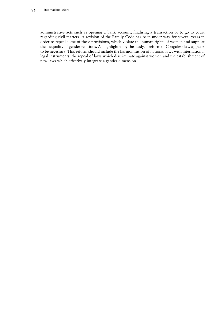administrative acts such as opening a bank account, finalising a transaction or to go to court regarding civil matters. A revision of the Family Code has been under way for several years in order to repeal some of these provisions, which violate the human rights of women and support the inequality of gender relations. As highlighted by the study, a reform of Congolese law appears to be necessary. This reform should include the harmonisation of national laws with international legal instruments, the repeal of laws which discriminate against women and the establishment of new laws which effectively integrate a gender dimension.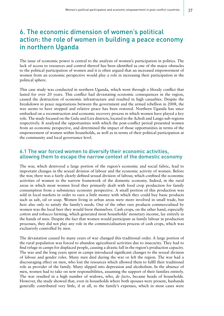## 6. The economic dimension of women's political action: the role of women in building a peace economy in northern Uganda

The issue of economic power is central to the analysis of women's participation in politics. The lack of access to resources and control thereof has been identified as one of the major obstacles to the political participation of women and it is often argued that an increased empowerment of women from an economic perspective would play a role in increasing their participation in the political sphere.

This case study was conducted in northern Uganda, which went through a bloody conflict that lasted for over 20 years. This conflict had devastating economic consequences in the region, caused the destruction of economic infrastructure and resulted in high casualties. Despite the breakdown in peace negotiations between the government and the armed rebellion in 2008, the war seems to have stopped and relative peace has been restored. Northern Uganda has since embarked on a reconstruction and economic recovery process in which women have played a key role. The study focused on the Gulu and Lira districts, located in the Acholi and Lango sub-regions respectively. It analysed the opportunities with which the post-conflict period presented women from an economic perspective, and determined the impact of those opportunities in terms of the empowerment of women within households, as well as in terms of their political participation at the community and local governance level.

#### 6.1 The war forced women to diversify their economic activities, allowing them to escape the narrow context of the domestic economy

The war, which destroyed a large portion of the region's economic and social fabric, lead to important changes in the sexual division of labour and the economic activity of women. Before the war, there was a fairly clearly defined sexual division of labour, which confined the economic activities of women to the narrow framework of the domestic economy. Indeed, in the rural areas in which most women lived they primarily dealt with food crop production for family consumption from a subsistence economy perspective. A small portion of this production was sold in local markets in order to earn a little money with which they could buy basic products such as salt, oil or soap. Women living in urban areas were more involved in small trade, but here also only to satisfy the family's needs. One of the other rare products commercialised by women was the local beer they would brew themselves. Cash crops, on the other hand, especially cotton and tobacco farming, which generated most households' monetary income, lay entirely in the hands of men. Despite the fact that women would participate as family labour in production processes, they did not play any role in the commercialisation process of cash crops, which was exclusively controlled by men.

The devastation caused by many years of war changed this traditional order. A large portion of the rural population was forced to abandon agricultural activities due to insecurity. They had to find refuge in camps for displaced people, causing a drastic fall in the region's production capacity. The war and the long years spent in camps introduced significant changes to the sexual division of labour and gender roles. Many men died during the war or left the region. The war had a discouraging effect on men, who lost the resources which allowed them to fulfil their traditional role as provider of the family. Many slipped into depression and alcoholism. In the absence of men, women had to take on new responsibilities, assuming the support of their families entirely. The war resulted in a high number of widows, who, *de facto*, became heads of households. However, the study showed that, even in households where both spouses were present, husbands generally contributed very little, if at all, to the family's expenses, which in most cases were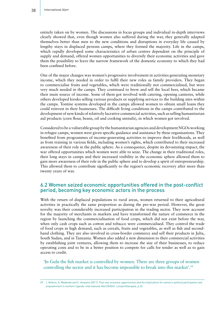entirely taken on by women. The discussions in focus groups and individual in-depth interviews clearly showed that, even though women also suffered during the war, they generally adapted themselves better than men to the new conditions and disruptions in everyday life caused by lengthy stays in displaced persons camps, where they formed the majority. Life in the camps, which rapidly developed some characteristics of urban centres dependent on the principle of supply and demand, offered women opportunities to diversify their economic activities and gave them the possibility to leave the narrow framework of the domestic economy to which they had been confined before.

One of the major changes was women's progressive involvement in activities generating monetary income, which they needed in order to fulfil their new roles as family providers. They began to commercialise fruits and vegetables, which were traditionally not commercialised, but were very much needed in the camps. They continued to brew and sell the local beer, which became their main source of income. Some of them got involved with catering, opening canteens, while others developed kiosks selling various products or supplying services to the building sites within the camps. Tontine systems developed in the camps allowed women to obtain small loans they could reinvest in their businesses. The difficult living conditions in the camps contributed to the development of new kinds of relatively lucrative commercial activities, such as selling humanitarian aid products (corn flour, beans, oil and cooking utensils), in which women got involved.

Considered to be a vulnerable group by the humanitarian agencies and development NGOs working in refugee camps, women were given specific guidance and assistance by these organisations. They benefited from programmes of income-generating activities to improve their livelihoods, as well as from training in various fields, including women's rights, which contributed to their increased awareness of their role in the public sphere. As a consequence, despite its devastating impact, the war offered opportunities which women were able to seize. The change in their traditional roles, their long stays in camps and their increased visibility in the economic sphere allowed them to gain more awareness of their role in the public sphere and to develop a spirit of entrepreneurship. This allowed them to contribute significantly to the region's economic recovery after more than twenty years of war.

#### 6.2 Women seized economic opportunities offered in the post-conflict period, becoming key economic actors in the process

With the return of displaced populations to rural areas, women returned to their agricultural activities in practically the same proportion as during the pre-war period. However, the great novelty was their considerably increased participation in the trading sector. They now account for the majority of merchants in markets and have transformed the nature of commerce in the region by launching the commercialisation of food crops, which did not exist before the war, when only cash crops such as cotton and tobacco were commercialised. They control the trade of food crops in high demand, such as cereals, fruits and vegetables, as well as fish and secondhand clothing. They are also involved in cross-border commerce and sell their products in Juba, South Sudan, and in Tanzania. Women also added a new dimension to their commercial activities by establishing joint ventures, allowing them to increase the size of their businesses, to reduce operating costs and to be in a better position to compete for calls for tender as well as to gain access to credit.

'In Gulu the fish market is controlled by women. There are three groups of women controlling the sector and it has become impossible to break into this market'.59

<sup>59</sup> J. Ahikire, A. Madanda and C. Ampaire (2011). *Post-war economic opportunities and the implications for women's political participation and empowerment in northern Uganda*. International Alert/EASSI: London/Kampala, p.32.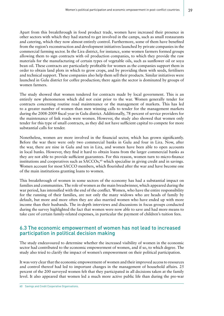Apart from this breakthrough in food product trade, women have increased their presence in other sectors with which they had started to get involved in the camps, such as small restaurants and catering, which they now almost entirely control. Furthermore, some of them have benefited from the region's reconstruction and development initiatives launched by private companies in the commercial farming sector. In the Lira district, for instance, some women farmers formed groups allowing them to sign contracts with oil production companies, to which they provide the raw materials for the manufacturing of certain types of vegetable oils, such as sunflower oil or soya bean oil. These contracts are particularly profitable for women as the companies support them in order to obtain land plots in which to grow crops, and by providing them with seeds, fertilisers and technical support. These companies also help them sell their products. Similar initiatives were launched in Gulu district for coffee production; there again the sector is dominated by groups of women farmers.

The study showed that women tendered for contracts made by local government. This is an entirely new phenomenon which did not exist prior to the war. Women generally tender for contracts concerning routine road maintenance or the management of markets. This has led to a greater number of women than men winning calls to tender for the management markets during the 2008-2009 fiscal year in Gulu district. Additionally, 78 percent of service providers for the maintenance of link roads were women. However, the study also showed that women only tender for this type of small contracts, as they did not have sufficient capital to compete for more substantial calls for tender.

Nonetheless, women are more involved in the financial sector, which has grown significantly. Before the war there were only two commercial banks in Gulu and four in Lira. Now, after the war, there are nine in Gulu and ten in Lira, and women have been able to open accounts in local banks. However, they find it hard to obtain loans from the larger commercial banks as they are not able to provide sufficient guarantees. For this reason, women turn to micro-finance institutions and cooperatives such as SACCOs,<sup>60</sup> which specialise in giving credit and in savings. Women account for most SACCO members, which flourished after the war and have become one of the main institutions granting loans to women.

This breakthrough of women in some sectors of the economy has had a substantial impact on families and communities. The role of women as the main breadwinner, which appeared during the war period, has intensified with the end of the conflict. Women, who have the entire responsibility for the running of their families, are not only the many widows who are heads of family by default, but more and more often they are also married women who have ended up with more income than their husbands. The in-depth interviews and discussions in focus groups conducted during the survey highlighted the fact that women were now able to save and had more means to take care of certain family-related expenses, in particular the payment of children's tuition fees.

#### 6.3 The economic empowerment of women has not lead to increased participation in political decision making

The study endeavoured to determine whether the increased visibility of women in the economic sector had contributed to the economic empowerment of women, and if so, to which degree. The study also tried to clarify the impact of women's empowerment on their political participation.

It was very clear that the economic empowerment of women and their improved access to resources and control thereof had led to important changes in the management of household affairs. 25 percent of the 200 surveyed women felt that they participated in all decisions taken at the family level. It also appeared that women led a much more active public life than during the pre-war

60 Savings and Credit Cooperative Organisations.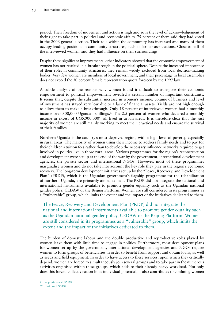period. Their freedom of movement and action is high and so is the level of acknowledgement of their right to take part in political and economic affairs. 79 percent of them said they had voted in the 2006 general election. Their role within the community has increased and many of them occupy leading positions in community structures, such as farmer associations. Close to half of the interviewed women said they had influence on their surroundings.

Despite these significant improvements, other indicators showed that the economic empowerment of women has not resulted in a breakthrough in the political sphere. Despite the increased importance of their roles in community structures, they remain widely excluded from local decision-making bodies. Very few women are members of local government, and their percentage in local assemblies does not exceed the 30 percent female representation quota foreseen by the 1997 law.

A subtle analysis of the reasons why women found it difficult to transpose their economic empowerment to political empowerment revealed a certain number of important constraints. It seems that, despite the substantial increase in women's income, volume of business and level of investment has stayed very low due to a lack of financial assets. Yields are not high enough to allow them to make a breakthrough. Only 18 percent of interviewed women had a monthly income over 300,000 Ugandan shillings.<sup> $61$ </sup> The 2.5 percent of women who declared a monthly income in excess of UGX900,000<sup>62</sup> all lived in urban areas. It is therefore clear that the vast majority of women are still mainly working to meet their practical needs and ensure the survival of their families.

Northern Uganda is the country's most deprived region, with a high level of poverty, especially in rural areas. The majority of women using their income to address family needs and to pay for their children's tuition fees rather than to develop the necessary influence networks required to get involved in politics live in those rural areas. Various programmes for the region's reconstruction and development were set up at the end of the war by the government, international development agencies, the private sector and international NGOs. However, most of these programmes marginalise women and do not take into account the key role they play in the region's economic recovery. The long-term development initiatives set up by the "Peace, Recovery, and Development Plan" (PRDP), which is the Ugandan government's flagship programme for the rehabilitation of northern Uganda, are primarily aimed at men. The PRDP did not integrate the national and international instruments available to promote gender equality such as the Ugandan national gender policy, CEDAW or the Beijing Platform. Women are still considered in its programmes as a "vulnerable" group, which limits the extent and the impact of the initiatives dedicated to them.

The Peace, Recovery and Development Plan (PRDP) did not integrate the national and international instruments available to promote gender equality such as the Ugandan national gender policy, CEDAW or the Beijing Platform. Women are still considered in its programmes as a "vulnerable" group, which limits the extent and the impact of the initiatives dedicated to them.

The burden of domestic labour and the double productive and reproductive roles played by women leave them with little time to engage in politics. Furthermore, most development plans for women set up by the government, international development agencies and NGOs require women to form groups of beneficiaries in order to benefit from support and obtain loans, as well as seeds and field equipment. In order to have access to these services, upon which they critically depend, women are forced to simultaneously join several groups and to take part in the numerous activities organised within these groups, which adds to their already heavy workload. Not only does this forced collectivisation limit individual potential, it also contributes to confining women

<sup>61</sup> Approximately USD135.

<sup>62</sup> Just over USD380.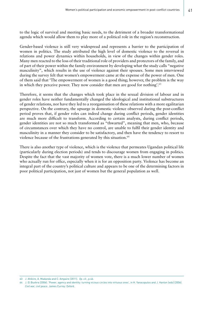to the logic of survival and meeting basic needs, to the detriment of a broader transformational agenda which would allow them to play more of a political role in the region's reconstruction.

Gender-based violence is still very widespread and represents a barrier to the participation of women in politics. The study attributed the high level of domestic violence to the reversal in relations and power dynamics within households, in view of the changes within gender roles. Many men reacted to the loss of their traditional role of providers and protectors of the family, and of part of their power within the family environment by developing what the study calls "negative masculinity", which results in the use of violence against their spouses. Some men interviewed during the survey felt that women's empowerment came at the expense of the power of men. One of them said that 'The empowerment of women is a good thing; however, the problem is the way in which they perceive power. They now consider that men are good for nothing'.63

Therefore, it seems that the changes which took place in the sexual division of labour and in gender roles have neither fundamentally changed the ideological and institutional substructures of gender relations, nor have they led to a reorganisation of these relations with a more egalitarian perspective. On the contrary, the upsurge in domestic violence observed during the post-conflict period proves that, if gender roles can indeed change during conflict periods, gender identities are much more difficult to transform. According to certain analysts, during conflict periods, gender identities are not so much transformed as "thwarted", meaning that men, who, because of circumstances over which they have no control, are unable to fulfil their gender identity and masculinity in a manner they consider to be satisfactory, and then have the tendency to resort to violence because of the frustrations generated by this situation.<sup>64</sup>

There is also another type of violence, which is the violence that permeates Ugandan political life (particularly during election periods) and tends to discourage women from engaging in politics. Despite the fact that the vast majority of women vote, there is a much lower number of women who actually run for office, especially when it is for an opposition party. Violence has become an integral part of the country's political culture and appears to be one of the determining factors in poor political participation, not just of women but the general population as well.

<sup>63</sup> J. Ahikire, A. Madanda and C. Ampaire (2011). *Op. cit*., p.46.

<sup>64</sup> J. El Bushra (2006). 'Power, agency and identity: turning vicious circles into virtuous ones', in H. Yanacopulos and J. Hanlon (eds) (2006). *Civil war, civil peace*. James Currey: Oxford.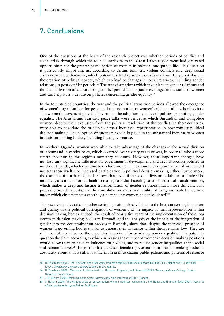## 7. Conclusions

One of the questions at the heart of the research project was whether periods of conflict and social crisis through which the four countries from the Great Lakes region went had generated opportunities for the greater participation of women in political and public life. This question is particularly important, as, according to certain analysts, violent conflicts and deep social crises create new dynamics, which potentially lead to social transformations. They contribute to the creation of political spaces, which can lead to changes in social relations, including gender relations, in post-conflict periods.<sup>65</sup> The transformations which take place in gender relations and the sexual division of labour during conflict periods foster positive changes in the status of women and can help start a debate on policies concerning gender equality.<sup>66</sup>

In the four studied countries, the war and the political transition periods allowed the emergence of women's organisations for peace and the promotion of women's rights at all levels of society. The women's movement played a key role in the adoption by states of policies promoting gender equality. The Arusha and Sun City peace talks were venues at which Burundian and Congolese women, despite their exclusion from the political resolution of the conflicts in their countries, were able to negotiate the principle of their increased representation in post-conflict political decision making. The adoption of quotas played a key role in the substantial increase of women in decision-making bodies, including local governance.

In northern Uganda, women were able to take advantage of the changes in the sexual division of labour and in gender roles, which occurred over twenty years of war, in order to take a more central position in the region's monetary economy. However, these important changes have not had any significant influence on governmental development and reconstruction policies in northern Uganda, which continue to exclude women. The economic empowerment of women did not transpose itself into increased participation in political decision making either. Furthermore, the example of northern Uganda shows that, even if the sexual division of labour can indeed be modified, it is much more difficult to manage a radical ideological and structural transformation, which makes a deep and lasting transformation of gender relations much more difficult. This poses the broader question of the consolidation and sustainability of the gains made by women: under which circumstances can the gains made by women be consolidated?<sup>67</sup>

The research studies raised another central question, closely linked to the first, concerning the nature and quality of the political participation of women and the impact of their representation within decision-making bodies. Indeed, the result of nearly five years of the implementation of the quota system in decision-making bodies in Burundi, and the analysis of the impact of the integration of gender into the decentralisation process in Rwanda, show that, despite the increased presence of women in governing bodies thanks to quotas, their influence within them remains low. They are still not able to influence those policies important for achieving gender equality. This puts into question the claim according to which increasing the number of women in decision-making positions would allow them to have an influence on policies, and to reduce gender inequalities at the social and economic level.68 If it is true that increased female representation in decision-making bodies is absolutely essential, it is still not sufficient in itself to change public policies and patterns of resource

<sup>65</sup> D. Pankhurst (2004). 'The "sex war" and other wars: towards a feminist approach to peace building', in H. Afshar and D. Eade (eds) (2004). *Development, women and war*. Oxfam GB: UK, pp.8-42.

<sup>66</sup> D. Pankhurst (2002). 'Women and politics in Africa: The case of Uganda', in K. Ross (ed) (2002). *Women, politics and change*. Oxford University Press: Oxford.

<sup>67</sup> J. El Bushra (2003). *Women building peace: Sharing know-how*. International Alert: London.

<sup>68</sup> S. Hassim (2006). 'The virtuous circle of representation; Women in African parliaments', in G. Bauer and H. Britton (eds) (2006). *Women in African parliaments*. Lynne Reiner Publishers.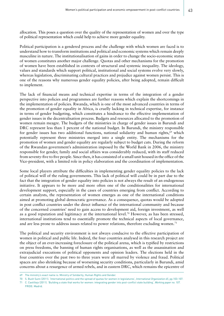allocation. This poses a question over the quality of the representation of women and over the type of political representation which could help to achieve more gender equality.

Political participation is a gendered process and the challenge with which women are faced is to understand how to transform institutions and political and economic systems which remain deeply masculine in nature. The institutionalisation of gains in order to change the socio-economic status of women constitutes another major challenge. Quotas and other mechanisms for the promotion of women have been established in contexts of structural and systemic inequality. The ideology, values and standards which support political, institutional and social systems evolve very slowly, whereas legislation, discriminating cultural practices and prejudice against women persist. This is one of the reasons why numerous gender equality policies, after being adopted, remain difficult to implement.

The lack of financial means and technical expertise in terms of the integration of a gender perspective into policies and programmes are further reasons which explain the shortcomings in the implementation of policies. Rwanda, which is one of the most advanced countries in terms of the promotion of gender equality in Africa, is cruelly lacking in technical expertise, for instance in terms of gender budgeting, which constitutes a hindrance to the effective implementation of gender issues in the decentralisation process. Budgets and resources allocated to the promotion of women remain meagre. The budgets of the ministries in charge of gender issues in Burundi and DRC represent less than 1 percent of the national budget. In Burundi, the ministry responsible for gender issues has two additional functions, national solidarity and human rights,<sup>69</sup> which potentially represent three ministries merged into a single entity. The mechanisms for the promotion of women and gender equality are regularly subject to budget cuts. During the reform of the Rwandan government's administration imposed by the World Bank in 2006, the ministry responsible for gender, family and social affairs was considerably reduced, with its staff reduced from seventy-five to five people. Since then, it has consisted of a small unit housed in the office of the Vice-president, with a limited role in policy elaboration and the coordination of implementation.

Some local players attribute the difficulties in implementing gender equality policies to the lack of political will of the ruling governments. This lack of political will could be in part due to the fact that the integration of gender equality into policies is not always the result of an endogenous initiative. It appears to be more and more often one of the conditionalities for international development support, especially in the cases of countries emerging from conflict. According to certain analysts, the representation of women emerges as one of the international conditions aimed at promoting global democratic governance. As a consequence, quotas would be adopted in post conflict countries under the direct influence of the international community and because of the concerned countries' need to gain access to development aid, foreign investment, as well as a good reputation and legitimacy at the international level.70 However, as has been stressed, international institutions tend to essentially promote the technical aspects of local governance, and are less prone to address issues related to power relations, therefore excluding women.<sup>71</sup>

The political and security environment is not always conducive to the effective participation of women in political and public life. Indeed, the four countries analysed in this research project are the object of an ever-increasing foreclosure of the political arena, which is typified by restrictions on press freedoms, the banning of human rights organisations, as well as the assassination and extrajudicial executions of political opponents and opinion leaders. The elections held in the four countries over the past two to three years were all marred by violence and fraud. Political spaces are also shrinking because of worsening security conditions, particularly in Burundi, amid concerns about a resurgence of armed rebels, and in eastern DRC, which remains the epicentre of

<sup>69</sup> The ministry's exact name is: Ministry of Solidarity, Human Rights and Gender.

<sup>70</sup> S. Bush Sunn (2011). 'International politics and the spread of quotas for women in legislatures', *International Organization 65*, pp.103-107.

<sup>71</sup> C. Castillejo (2011). 'Building a state that works for women: integrating gender into post-conflict state building', *Working paper no. 107*.

FRIDE: Madrid.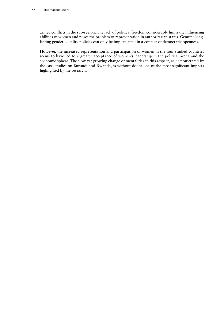armed conflicts in the sub-region. The lack of political freedom considerably limits the influencing abilities of women and poses the problem of representation in authoritarian states. Genuine longlasting gender equality policies can only be implemented in a context of democratic openness.

However, the increased representation and participation of women in the four studied countries seems to have led to a greater acceptance of women's leadership in the political arena and the economic sphere. The slow yet growing change of mentalities in this respect, as demonstrated by the case studies on Burundi and Rwanda, is without doubt one of the most significant impacts highlighted by the research.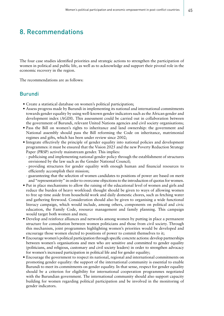## 8. Recommendations

The four case studies identified priorities and strategic actions to strengthen the participation of women in political and public life, as well as to acknowledge and support their pivotal role in the economic recovery in the region.

The recommendations are as follows:

#### Burundi

- Create a statistical database on women's political participation;
- Assess progress made by Burundi in implementing its national and international commitments towards gender equality by using well-known gender indicators such as the African gender and development index (AGDI). This assessment could be carried out in collaboration between the government of Burundi, relevant United Nations agencies and civil society organisations;
- Pass the Bill on women's rights to inheritance and land ownership: the government and National assembly should pass the Bill reforming the Code on inheritance, matrimonial regimes and gifts, which has been under review since 2002;
- Integrate effectively the principle of gender equality into national policies and development programmes: it must be ensured that the Vision 2025 and the new Poverty Reduction Strategy Paper (PRSP) actively mainstream gender. This implies:
	- publicising and implementing national gender policy through the establishment of structures envisioned by the law such as the Gender National Council;
	- providing structures for gender equality with enough human and financial resources to efficiently accomplish their mission;
	- guaranteeing that the selection of women candidates to positions of power are based on merit and "representativity" in order to overcome objections to the introduction of quotas for women.
- Put in place mechanisms to allow the raising of the educational level of women and girls and reduce the burden of heavy workload: thought should be given to ways of allowing women to free up time aside from household work and daily domestic chores, such as fetching water and gathering firewood. Consideration should also be given to organising a wide functional literacy campaign, which would include, among others, components on political and civic education, the Family Code, resource management and family planning. This campaign would target both women and men;
- Develop and reinforce alliances and networks among women by putting in place a permanent structure for consultation between women politicians and those from civil society. Through this mechanism, joint programmes highlighting women's priorities would be developed and encourage those women elected to positions of power to commit themselves to it;
- Encourage women's political participation through specific concrete actions: develop partnerships between women's organisations and men who are sensitive and committed to gender equality (politicians, and religious, customary and civil society leaders) in order to strengthen advocacy for women's increased participation in political life and for gender equality;
- Encourage the government to respect its national, regional and international commitments on promoting gender equality: the support of the international community is essential to enable Burundi to meet its commitments on gender equality. In that sense, respect for gender equality should be a criterion for eligibility for international cooperation programmes negotiated with the Burundian government. The international community should also support capacity building for women regarding political participation and be involved in the monitoring of gender indicators.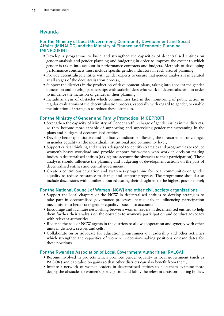#### Rwanda

#### For the Ministry of Local Government, Community Development and Social Affairs (MINALOC) and the Ministry of Finance and Economic Planning (MINECOFIN)

- Develop a programme to build and strengthen the capacities of decentralised entities on gender analysis and gender planning and budgeting in order to improve the extent to which gender is taken into account in performance contracts and budgets. Methods of developing performance contracts must include specific gender indicators in each area of planning;
- Provide decentralised entities with gender experts to ensure that gender analysis is integrated at all stages of the decentralisation process;
- Support the districts in the production of development plans, taking into account the gender dimension and develop partnerships with stakeholders who work in decentralisation in order to influence the inclusion of gender in their planning;
- Include analysis of obstacles which communities face in the monitoring of public action in regular evaluations of the decentralisation process, especially with regard to gender, to enable the initiation of strategies to reduce these obstacles.

#### For the Ministry of Gender and Family Promotion (MIGEPROF)

- Strengthen the capacity of Ministry of Gender staff in charge of gender issues in the districts, so they become more capable of supporting and supervising gender mainstreaming in the plans and budgets of decentralised entities;
- Develop better quantitative and qualitative indicators allowing the measurement of changes in gender equality at the individual, institutional and community level;
- Support critical thinking and analysis designed to identify strategies and programmes to reduce women's heavy workload and provide support for women who work in decision-making bodies in decentralised entities (taking into account the obstacles to their participation). These analyses should influence the planning and budgeting of development actions on the part of decentralised entities and central government;
- Create a continuous education and awareness programme for local communities on gender equality to reduce resistance to change and support progress. The programme should also include discussions with families about educating their daughters to the highest possible level;

#### For the National Council of Women (NCW) and other civil society organisations

- Support the local chapters of the NCW in decentralised entities to develop strategies to take part in decentralised governance processes, particularly in influencing participation mechanisms to better take gender equality issues into account;
- Encourage and facilitate networking between women leaders in decentralised entities to help them further their analysis on the obstacles to women's participation and conduct advocacy with relevant authorities.
- Redefine the role of NCW agents in the districts to allow cooperation and synergy with other units in districts, sectors and cells;
- Collaborate on or advocate for education programmes on leadership and other activities which strengthen the capacities of women in decision-making positions or candidates for these positions.

#### For the Rwandan Association of Local Government Authorities (RALGA)

- Become involved in projects which promote gender equality in local government (such as PAGOR) and capitalise on gains so that other districts can also benefit from them;
- Initiate a network of women leaders in decentralised entities to help them examine more deeply the obstacles to women's participation and lobby the relevant decision-making bodies.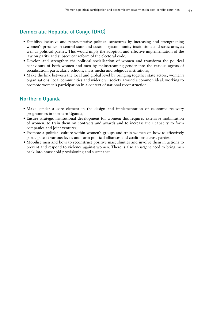#### Democratic Republic of Congo (DRC)

- Establish inclusive and representative political structures by increasing and strengthening women's presence in central state and customary/community institutions and structures, as well as political parties. This would imply the adoption and effective implementation of the law on parity and subsequent reform of the electoral code;
- Develop and strengthen the political socialisation of women and transform the political behaviours of both women and men by mainstreaming gender into the various agents of socialisation, particularly schools, mass media and religious institutions;
- Make the link between the local and global level by bringing together state actors, women's organisations, local communities and wider civil society around a common ideal: working to promote women's participation in a context of national reconstruction.

#### Northern Uganda

- Make gender a core element in the design and implementation of economic recovery programmes in northern Uganda;
- Ensure strategic institutional development for women: this requires extensive mobilisation of women, to train them on contracts and awards and to increase their capacity to form companies and joint ventures;
- Promote a political culture within women's groups and train women on how to effectively participate at various levels and form political alliances and coalitions across parties;
- Mobilise men and boys to reconstruct positive masculinities and involve them in actions to prevent and respond to violence against women. There is also an urgent need to bring men back into household provisioning and sustenance.